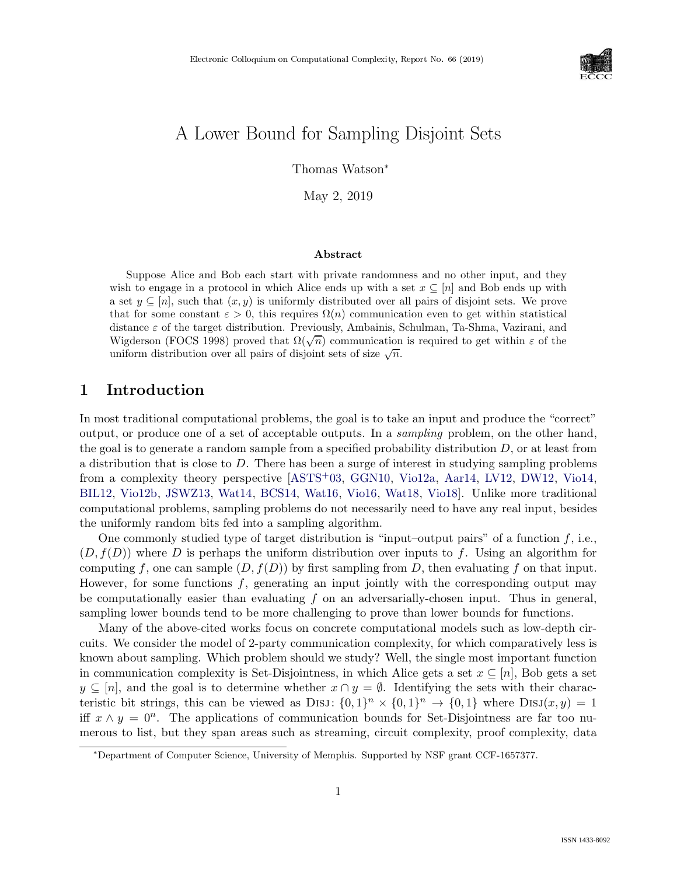

# A Lower Bound for Sampling Disjoint Sets

Thomas Watson<sup>∗</sup>

May 2, 2019

#### Abstract

Suppose Alice and Bob each start with private randomness and no other input, and they wish to engage in a protocol in which Alice ends up with a set  $x \subseteq [n]$  and Bob ends up with a set  $y \subseteq [n]$ , such that  $(x, y)$  is uniformly distributed over all pairs of disjoint sets. We prove that for some constant  $\varepsilon > 0$ , this requires  $\Omega(n)$  communication even to get within statistical distance  $\varepsilon$  of the target distribution. Previously, Ambainis, Schulman, Ta-Shma, Vazirani, and Wigderson (FOCS 1998) proved that  $\Omega(\sqrt{n})$  communication is required to get within  $\varepsilon$  of the uniform distribution over all pairs of disjoint sets of size  $\sqrt{n}$ .

### 1 Introduction

In most traditional computational problems, the goal is to take an input and produce the "correct" output, or produce one of a set of acceptable outputs. In a sampling problem, on the other hand, the goal is to generate a random sample from a specified probability distribution  $D$ , or at least from a distribution that is close to D. There has been a surge of interest in studying sampling problems from a complexity theory perspective [\[ASTS](#page--1-0)+03, [GGN10,](#page--1-1) [Vio12a,](#page--1-2) [Aar14,](#page--1-3) [LV12,](#page--1-4) [DW12,](#page--1-5) [Vio14,](#page--1-6) [BIL12,](#page--1-7) [Vio12b,](#page--1-8) [JSWZ13,](#page--1-9) [Wat14,](#page--1-7) [BCS14,](#page--1-10) [Wat16,](#page--1-11) [Vio16,](#page--1-12) [Wat18,](#page--1-13) [Vio18\]](#page--1-14). Unlike more traditional computational problems, sampling problems do not necessarily need to have any real input, besides the uniformly random bits fed into a sampling algorithm.

One commonly studied type of target distribution is "input–output pairs" of a function  $f$ , i.e.,  $(D, f(D))$  where D is perhaps the uniform distribution over inputs to f. Using an algorithm for computing f, one can sample  $(D, f(D))$  by first sampling from D, then evaluating f on that input. However, for some functions  $f$ , generating an input jointly with the corresponding output may be computationally easier than evaluating  $f$  on an adversarially-chosen input. Thus in general, sampling lower bounds tend to be more challenging to prove than lower bounds for functions.

Many of the above-cited works focus on concrete computational models such as low-depth circuits. We consider the model of 2-party communication complexity, for which comparatively less is known about sampling. Which problem should we study? Well, the single most important function in communication complexity is Set-Disjointness, in which Alice gets a set  $x \subseteq [n]$ , Bob gets a set  $y \subseteq [n]$ , and the goal is to determine whether  $x \cap y = \emptyset$ . Identifying the sets with their characteristic bit strings, this can be viewed as DISJ:  $\{0,1\}^n \times \{0,1\}^n \to \{0,1\}$  where  $\text{DISJ}(x,y) = 1$ iff  $x \wedge y = 0^n$ . The applications of communication bounds for Set-Disjointness are far too numerous to list, but they span areas such as streaming, circuit complexity, proof complexity, data

<sup>∗</sup>Department of Computer Science, University of Memphis. Supported by NSF grant CCF-1657377.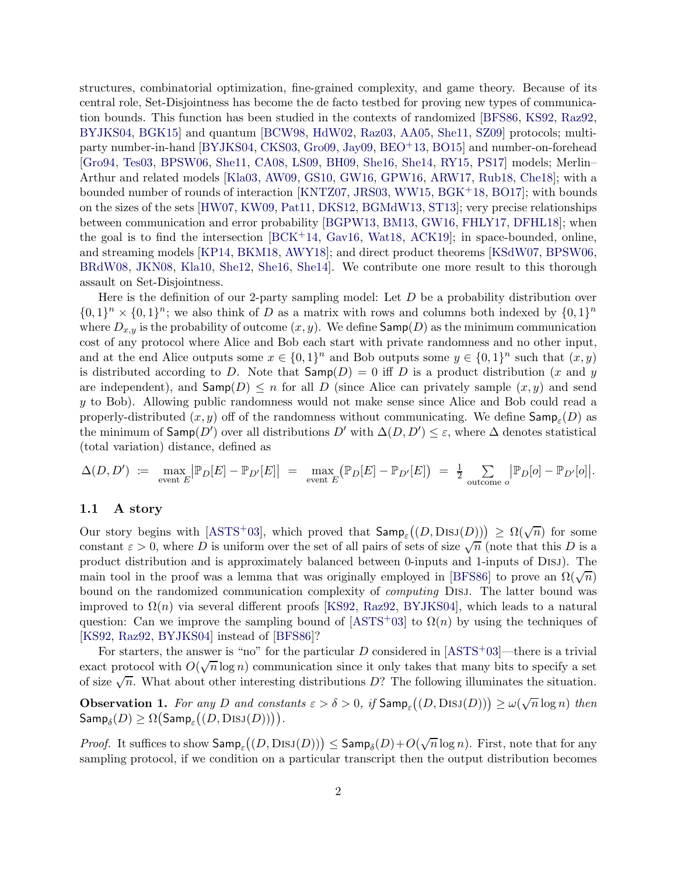structures, combinatorial optimization, fine-grained complexity, and game theory. Because of its central role, Set-Disjointness has become the de facto testbed for proving new types of communication bounds. This function has been studied in the contexts of randomized [\[BFS86,](#page-12-0) [KS92,](#page-16-0) [Raz92,](#page-16-1) [BYJKS04,](#page-13-0) [BGK15\]](#page-12-1) and quantum [\[BCW98,](#page-12-2) [HdW02,](#page-15-0) [Raz03,](#page-16-2) [AA05,](#page-11-0) [She11,](#page-17-0) [SZ09\]](#page-17-1) protocols; multiparty number-in-hand [\[BYJKS04,](#page-13-0) [CKS03,](#page-13-1) [Gro09,](#page-15-1) [Jay09,](#page-15-2) [BEO](#page-12-3)+13, [BO15\]](#page-13-2) and number-on-forehead [\[Gro94,](#page-14-0) [Tes03,](#page-17-2) [BPSW06,](#page-13-3) [She11,](#page-17-0) [CA08,](#page-13-4) [LS09,](#page-16-3) [BH09,](#page-12-4) [She16,](#page-17-3) [She14,](#page-17-4) [RY15,](#page-17-5) [PS17\]](#page-16-4) models; Merlin– Arthur and related models [\[Kla03,](#page-15-3) [AW09,](#page-11-1) [GS10,](#page-15-4) [GW16,](#page-15-5) [GPW16,](#page-14-1) [ARW17,](#page-11-2) [Rub18,](#page-17-6) [Che18\]](#page-13-5); with a bounded number of rounds of interaction [\[KNTZ07,](#page-16-5) [JRS03,](#page-15-6) [WW15,](#page--1-15) [BGK](#page-12-5)+18, [BO17\]](#page-13-6); with bounds on the sizes of the sets [\[HW07,](#page-15-7) [KW09,](#page-16-6) [Pat11,](#page-16-7) [DKS12,](#page-14-2) [BGMdW13,](#page-12-6) [ST13\]](#page-17-7); very precise relationships between communication and error probability [\[BGPW13,](#page-12-7) [BM13,](#page-13-7) [GW16,](#page-15-5) [FHLY17,](#page-14-3) [DFHL18\]](#page-14-4); when the goal is to find the intersection  $[BCK^+14, Gav16, Wat18, ACK19]$  $[BCK^+14, Gav16, Wat18, ACK19]$  $[BCK^+14, Gav16, Wat18, ACK19]$  $[BCK^+14, Gav16, Wat18, ACK19]$  $[BCK^+14, Gav16, Wat18, ACK19]$  $[BCK^+14, Gav16, Wat18, ACK19]$ ; in space-bounded, online, and streaming models [\[KP14,](#page-16-8) [BKM18,](#page-13-8) [AWY18\]](#page-12-9); and direct product theorems [\[KSdW07,](#page-16-9) [BPSW06,](#page-13-3) [BRdW08,](#page-13-9) [JKN08,](#page-15-8) [Kla10,](#page-15-9) [She12,](#page-17-8) [She16,](#page-17-3) [She14\]](#page-17-4). We contribute one more result to this thorough assault on Set-Disjointness.

Here is the definition of our 2-party sampling model: Let  $D$  be a probability distribution over  $\{0,1\}^n \times \{0,1\}^n$ ; we also think of D as a matrix with rows and columns both indexed by  $\{0,1\}^n$ where  $D_{x,y}$  is the probability of outcome  $(x, y)$ . We define  $\mathsf{Samp}(D)$  as the minimum communication cost of any protocol where Alice and Bob each start with private randomness and no other input, and at the end Alice outputs some  $x \in \{0,1\}^n$  and Bob outputs some  $y \in \{0,1\}^n$  such that  $(x, y)$ is distributed according to D. Note that  $\textsf{Samp}(D) = 0$  iff D is a product distribution (x and y are independent), and  $\textsf{Samp}(D) \leq n$  for all D (since Alice can privately sample  $(x, y)$  and send y to Bob). Allowing public randomness would not make sense since Alice and Bob could read a properly-distributed  $(x, y)$  off of the randomness without communicating. We define  $\mathsf{Samp}_\varepsilon(D)$  as the minimum of  $\mathsf{Samp}(D')$  over all distributions  $D'$  with  $\Delta(D, D') \leq \varepsilon$ , where  $\Delta$  denotes statistical (total variation) distance, defined as

$$
\Delta(D, D') \ := \ \max_{\text{event } E} \left| \mathbb{P}_D[E] - \mathbb{P}_{D'}[E] \right| \ = \ \max_{\text{event } E} \left( \mathbb{P}_D[E] - \mathbb{P}_{D'}[E] \right) \ = \ \frac{1}{2} \sum_{\text{outcome } o} \left| \mathbb{P}_D[o] - \mathbb{P}_{D'}[o] \right|.
$$

### 1.1 A story

Our story begins with [\[ASTS](#page-11-4)+03], which proved that  $\textsf{Samp}_\varepsilon((D, \text{DISJ}(D))) \ge \Omega(\sqrt{n})$  for some constant  $\varepsilon > 0$ , where D is uniform over the set of all pairs of sets of size  $\sqrt{n}$  (note that this D is a product distribution and is approximately balanced between 0-inputs and 1-inputs of Disj). The main tool in the proof was a lemma that was originally employed in [\[BFS86\]](#page-12-0) to prove an  $\Omega(\sqrt{n})$ bound on the randomized communication complexity of *computing* DISJ. The latter bound was improved to  $\Omega(n)$  via several different proofs [\[KS92,](#page-16-0) [Raz92,](#page-16-1) [BYJKS04\]](#page-13-0), which leads to a natural question: Can we improve the sampling bound of [\[ASTS](#page-11-4)<sup>+</sup>03] to  $\Omega(n)$  by using the techniques of [\[KS92,](#page-16-0) [Raz92,](#page-16-1) [BYJKS04\]](#page-13-0) instead of [\[BFS86\]](#page-12-0)?

For starters, the answer is "no" for the particular D considered in  $[ASTS<sup>+</sup>03]$ —there is a trivial exact protocol with  $O(\sqrt{n}\log n)$  communication since it only takes that many bits to specify a set of size  $\sqrt{n}$ . What about other interesting distributions D? The following illuminates the situation.

**Observation 1.** For any D and constants  $\varepsilon > \delta > 0$ , if  $\textsf{Samp}_{\varepsilon}((D, \text{DISJ}(D))) \ge \omega(\sqrt{n} \log n)$  then  $\mathsf{Samp}_\delta(D) \ge \Omega\big(\mathsf{Samp}_\varepsilon\big((D, \mathrm{DisJ}(D))\big)\big).$ 

*Proof.* It suffices to show  $\mathsf{Samp}_\varepsilon((D, \mathrm{DisJ}(D))) \leq \mathsf{Samp}_\delta(D) + O(\sqrt{n}\log n)$ . First, note that for any sampling protocol, if we condition on a particular transcript then the output distribution becomes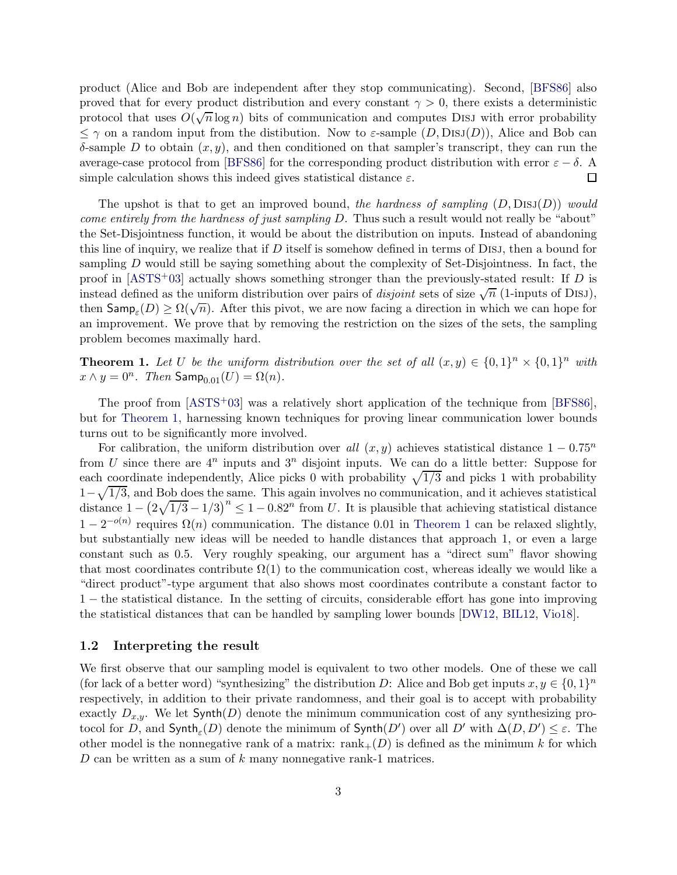product (Alice and Bob are independent after they stop communicating). Second, [\[BFS86\]](#page-12-0) also proved that for every product distribution and every constant  $\gamma > 0$ , there exists a deterministic protocol that uses  $O(\sqrt{n}\log n)$  bits of communication and computes DISJ with error probability  $\leq \gamma$  on a random input from the distibution. Now to  $\varepsilon$ -sample  $(D, \text{DisJ}(D))$ , Alice and Bob can δ-sample D to obtain  $(x, y)$ , and then conditioned on that sampler's transcript, they can run the average-case protocol from [\[BFS86\]](#page-12-0) for the corresponding product distribution with error  $\varepsilon - \delta$ . A simple calculation shows this indeed gives statistical distance  $\varepsilon$ . simple calculation shows this indeed gives statistical distance  $\varepsilon$ .

The upshot is that to get an improved bound, the hardness of sampling  $(D, \text{DisJ}(D))$  would come entirely from the hardness of just sampling D. Thus such a result would not really be "about" the Set-Disjointness function, it would be about the distribution on inputs. Instead of abandoning this line of inquiry, we realize that if  $D$  itself is somehow defined in terms of DISJ, then a bound for sampling D would still be saying something about the complexity of Set-Disjointness. In fact, the proof in  $[ASTS<sup>+</sup>03]$  actually shows something stronger than the previously-stated result: If D is instead defined as the uniform distribution over pairs of *disjoint* sets of size  $\sqrt{n}$  (1-inputs of DISJ), then  $\textsf{Samp}_{\varepsilon}(D) \ge \Omega(\sqrt{n})$ . After this pivot, we are now facing a direction in which we can hope for an improvement. We prove that by removing the restriction on the sizes of the sets, the sampling problem becomes maximally hard.

<span id="page-2-0"></span>**Theorem 1.** Let U be the uniform distribution over the set of all  $(x, y) \in \{0, 1\}^n \times \{0, 1\}^n$  with  $x \wedge y = 0^n$ . Then  $\mathsf{Samp}_{0.01}(U) = \Omega(n)$ .

The proof from [\[ASTS](#page-11-4)+03] was a relatively short application of the technique from [\[BFS86\]](#page-12-0), but for [Theorem 1,](#page-2-0) harnessing known techniques for proving linear communication lower bounds turns out to be significantly more involved.

For calibration, the uniform distribution over all  $(x, y)$  achieves statistical distance  $1 - 0.75<sup>n</sup>$ from U since there are  $4^n$  inputs and  $3^n$  disjoint inputs. We can do a little better: Suppose for each coordinate independently, Alice picks 0 with probability  $\sqrt{1/3}$  and picks 1 with probability  $1-\sqrt{1/3}$ , and Bob does the same. This again involves no communication, and it achieves statistical distance  $1 - (2\sqrt{1/3} - 1/3)^n \le 1 - 0.82^n$  from U. It is plausible that achieving statistical distance  $1 - 2^{-o(n)}$  requires  $\Omega(n)$  communication. The distance 0.01 in [Theorem 1](#page-2-0) can be relaxed slightly, but substantially new ideas will be needed to handle distances that approach 1, or even a large constant such as 0.5. Very roughly speaking, our argument has a "direct sum" flavor showing that most coordinates contribute  $\Omega(1)$  to the communication cost, whereas ideally we would like a "direct product"-type argument that also shows most coordinates contribute a constant factor to 1 − the statistical distance. In the setting of circuits, considerable effort has gone into improving the statistical distances that can be handled by sampling lower bounds [\[DW12,](#page-14-6) [BIL12,](#page-13-10) [Vio18\]](#page-17-9).

### 1.2 Interpreting the result

<span id="page-2-1"></span>We first observe that our sampling model is equivalent to two other models. One of these we call (for lack of a better word) "synthesizing" the distribution D: Alice and Bob get inputs  $x, y \in \{0, 1\}^n$ respectively, in addition to their private randomness, and their goal is to accept with probability exactly  $D_{x,y}$ . We let Synth(D) denote the minimum communication cost of any synthesizing protocol for D, and  $\text{Synth}_{\varepsilon}(D)$  denote the minimum of  $\text{Synth}(D')$  over all  $D'$  with  $\Delta(D, D') \leq \varepsilon$ . The other model is the nonnegative rank of a matrix:  $rank_{+}(D)$  is defined as the minimum k for which D can be written as a sum of  $k$  many nonnegative rank-1 matrices.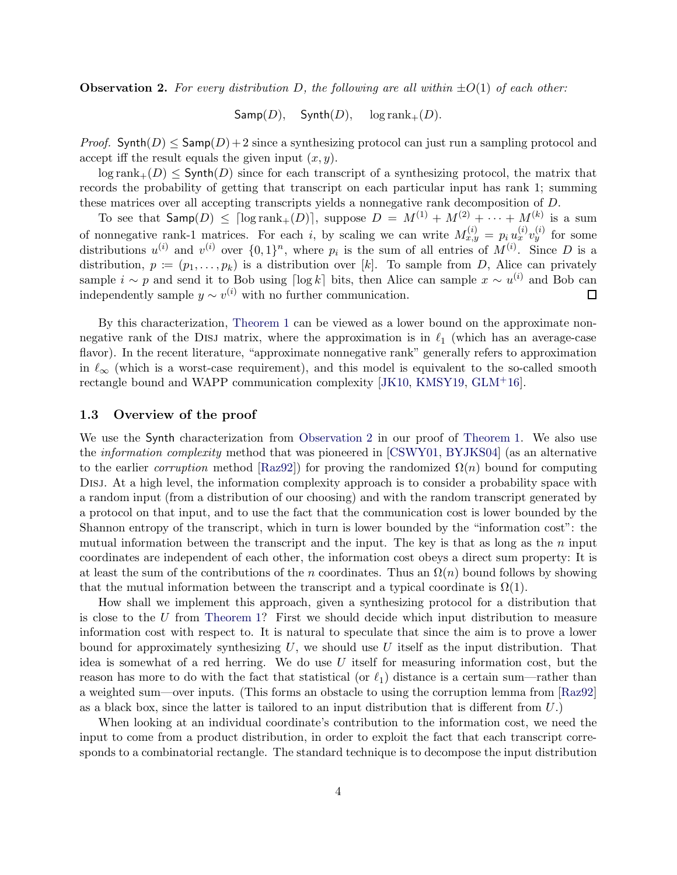**Observation 2.** For every distribution D, the following are all within  $\pm O(1)$  of each other:

 $Samp(D)$ ,  $Synth(D)$ ,  $log rank_{+}(D)$ .

*Proof.* Synth(D)  $\leq$  Samp(D) + 2 since a synthesizing protocol can just run a sampling protocol and accept iff the result equals the given input  $(x, y)$ .

 $\log$  rank $_{+}(D)$   $\leq$  Synth $(D)$  since for each transcript of a synthesizing protocol, the matrix that records the probability of getting that transcript on each particular input has rank 1; summing these matrices over all accepting transcripts yields a nonnegative rank decomposition of D.

To see that  $\mathsf{Samp}(D) \leq \lceil \log \text{rank}_+(D) \rceil$ , suppose  $D = M^{(1)} + M^{(2)} + \cdots + M^{(k)}$  is a sum of nonnegative rank-1 matrices. For each i, by scaling we can write  $M_{x,y}^{(i)} = p_i u_x^{(i)} v_y^{(i)}$  for some distributions  $u^{(i)}$  and  $v^{(i)}$  over  $\{0,1\}^n$ , where  $p_i$  is the sum of all entries of  $M^{(i)}$ . Since D is a distribution,  $p := (p_1, \ldots, p_k)$  is a distribution over [k]. To sample from D, Alice can privately sample  $i \sim p$  and send it to Bob using  $\lceil \log k \rceil$  bits, then Alice can sample  $x \sim u^{(i)}$  and Bob can independently sample  $y \sim v^{(i)}$  with no further communication. □

By this characterization, [Theorem 1](#page-2-0) can be viewed as a lower bound on the approximate nonnegative rank of the DISJ matrix, where the approximation is in  $\ell_1$  (which has an average-case flavor). In the recent literature, "approximate nonnegative rank" generally refers to approximation in  $\ell_{\infty}$  (which is a worst-case requirement), and this model is equivalent to the so-called smooth rectangle bound and WAPP communication complexity [\[JK10,](#page-15-10) [KMSY19,](#page-16-10) [GLM](#page-14-7)+16].

### 1.3 Overview of the proof

We use the Synth characterization from [Observation 2](#page-2-1) in our proof of [Theorem 1.](#page-2-0) We also use the information complexity method that was pioneered in [\[CSWY01,](#page-14-8) [BYJKS04\]](#page-13-0) (as an alternative to the earlier *corruption* method [\[Raz92\]](#page-16-1)) for proving the randomized  $\Omega(n)$  bound for computing Disj. At a high level, the information complexity approach is to consider a probability space with a random input (from a distribution of our choosing) and with the random transcript generated by a protocol on that input, and to use the fact that the communication cost is lower bounded by the Shannon entropy of the transcript, which in turn is lower bounded by the "information cost": the mutual information between the transcript and the input. The key is that as long as the  $n$  input coordinates are independent of each other, the information cost obeys a direct sum property: It is at least the sum of the contributions of the n coordinates. Thus an  $\Omega(n)$  bound follows by showing that the mutual information between the transcript and a typical coordinate is  $\Omega(1)$ .

How shall we implement this approach, given a synthesizing protocol for a distribution that is close to the  $U$  from [Theorem 1?](#page-2-0) First we should decide which input distribution to measure information cost with respect to. It is natural to speculate that since the aim is to prove a lower bound for approximately synthesizing  $U$ , we should use  $U$  itself as the input distribution. That idea is somewhat of a red herring. We do use  $U$  itself for measuring information cost, but the reason has more to do with the fact that statistical (or  $\ell_1$ ) distance is a certain sum—rather than a weighted sum—over inputs. (This forms an obstacle to using the corruption lemma from [\[Raz92\]](#page-16-1) as a black box, since the latter is tailored to an input distribution that is different from U.)

When looking at an individual coordinate's contribution to the information cost, we need the input to come from a product distribution, in order to exploit the fact that each transcript corresponds to a combinatorial rectangle. The standard technique is to decompose the input distribution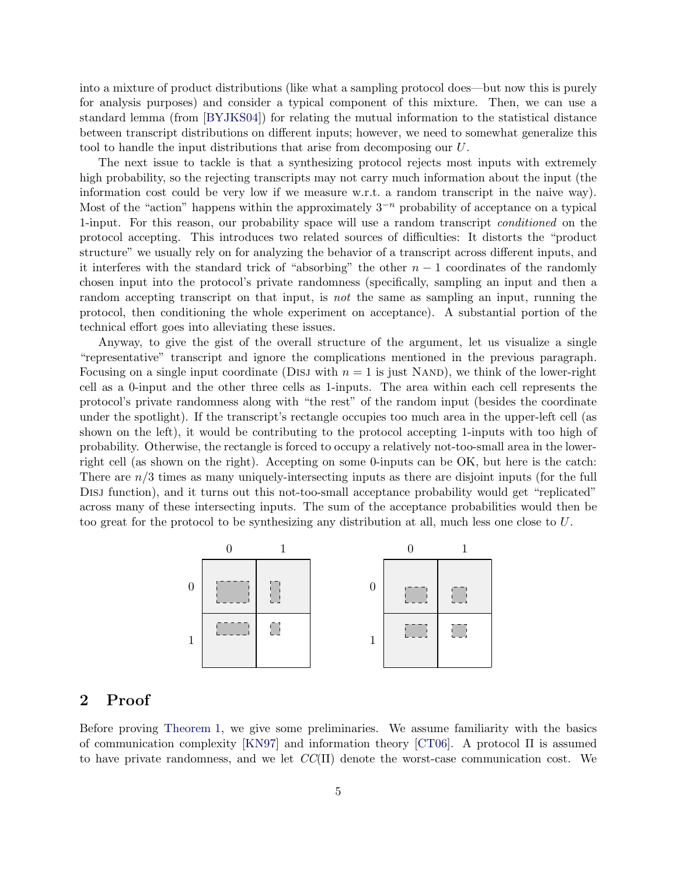into a mixture of product distributions (like what a sampling protocol does—but now this is purely for analysis purposes) and consider a typical component of this mixture. Then, we can use a standard lemma (from [\[BYJKS04\]](#page-13-0)) for relating the mutual information to the statistical distance between transcript distributions on different inputs; however, we need to somewhat generalize this tool to handle the input distributions that arise from decomposing our U.

The next issue to tackle is that a synthesizing protocol rejects most inputs with extremely high probability, so the rejecting transcripts may not carry much information about the input (the information cost could be very low if we measure w.r.t. a random transcript in the naive way). Most of the "action" happens within the approximately  $3^{-n}$  probability of acceptance on a typical 1-input. For this reason, our probability space will use a random transcript conditioned on the protocol accepting. This introduces two related sources of difficulties: It distorts the "product structure" we usually rely on for analyzing the behavior of a transcript across different inputs, and it interferes with the standard trick of "absorbing" the other  $n - 1$  coordinates of the randomly chosen input into the protocol's private randomness (specifically, sampling an input and then a random accepting transcript on that input, is not the same as sampling an input, running the protocol, then conditioning the whole experiment on acceptance). A substantial portion of the technical effort goes into alleviating these issues.

Anyway, to give the gist of the overall structure of the argument, let us visualize a single "representative" transcript and ignore the complications mentioned in the previous paragraph. Focusing on a single input coordinate (DISJ with  $n = 1$  is just NAND), we think of the lower-right cell as a 0-input and the other three cells as 1-inputs. The area within each cell represents the protocol's private randomness along with "the rest" of the random input (besides the coordinate under the spotlight). If the transcript's rectangle occupies too much area in the upper-left cell (as shown on the left), it would be contributing to the protocol accepting 1-inputs with too high of probability. Otherwise, the rectangle is forced to occupy a relatively not-too-small area in the lowerright cell (as shown on the right). Accepting on some 0-inputs can be OK, but here is the catch: There are  $n/3$  times as many uniquely-intersecting inputs as there are disjoint inputs (for the full Disj function), and it turns out this not-too-small acceptance probability would get "replicated" across many of these intersecting inputs. The sum of the acceptance probabilities would then be too great for the protocol to be synthesizing any distribution at all, much less one close to U.



### 2 Proof

Before proving [Theorem 1,](#page-2-0) we give some preliminaries. We assume familiarity with the basics of communication complexity [\[KN97\]](#page-16-11) and information theory [\[CT06\]](#page-14-9). A protocol Π is assumed to have private randomness, and we let  $CC(\Pi)$  denote the worst-case communication cost. We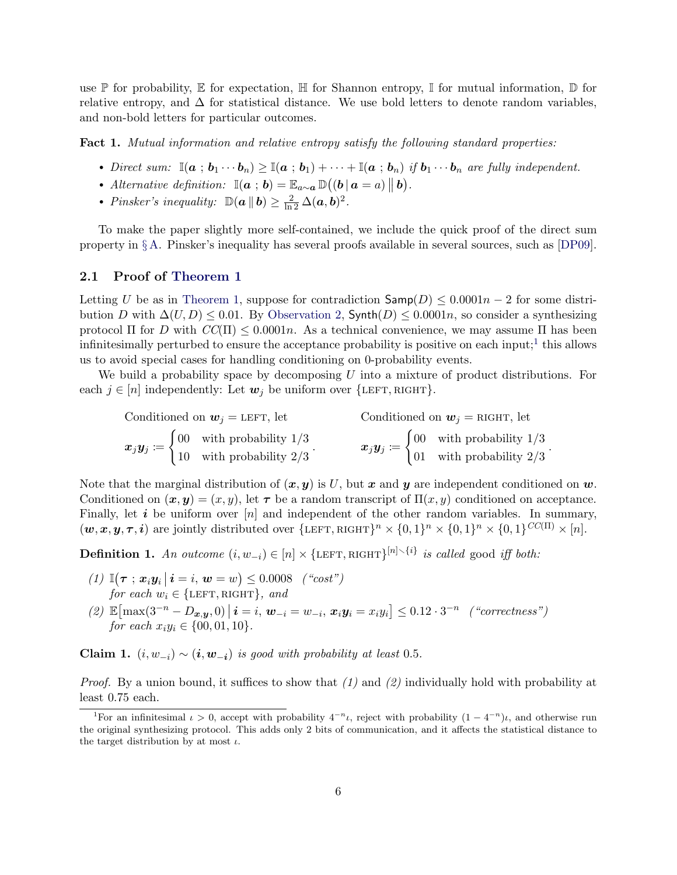use  $\mathbb P$  for probability,  $\mathbb E$  for expectation,  $\mathbb H$  for Shannon entropy,  $\mathbb I$  for mutual information,  $\mathbb D$  for relative entropy, and  $\Delta$  for statistical distance. We use bold letters to denote random variables, and non-bold letters for particular outcomes.

<span id="page-5-1"></span>Fact 1. Mutual information and relative entropy satisfy the following standard properties:

- Direct sum:  $\mathbb{I}(a; b_1 \cdots b_n) \geq \mathbb{I}(a; b_1) + \cdots + \mathbb{I}(a; b_n)$  if  $b_1 \cdots b_n$  are fully independent.
- **•** Alternative definition:  $\mathbb{I}(\boldsymbol{a} ; \boldsymbol{b}) = \mathbb{E}_{a \sim \boldsymbol{a}} \mathbb{D}((\boldsymbol{b} | \boldsymbol{a} = a) || \boldsymbol{b}).$
- Pinsker's inequality:  $\mathbb{D}(\boldsymbol{a} \parallel \boldsymbol{b}) \geq \frac{2}{\ln 2} \Delta(\boldsymbol{a}, \boldsymbol{b})^2$ .

To make the paper slightly more self-contained, we include the quick proof of the direct sum property in § [A.](#page-11-5) Pinsker's inequality has several proofs available in several sources, such as [\[DP09\]](#page-14-10).

### 2.1 Proof of [Theorem 1](#page-2-0)

Letting U be as in [Theorem 1,](#page-2-0) suppose for contradiction  $\textsf{Samp}(D) \leq 0.0001n - 2$  for some distribution D with  $\Delta(U, D) \leq 0.01$ . By [Observation 2,](#page-2-1) Synth(D)  $\leq 0.0001n$ , so consider a synthesizing protocol Π for D with  $CC(\Pi) \leq 0.0001n$ . As a technical convenience, we may assume Π has been infinitesimally perturbed to ensure the acceptance probability is positive on each input;<sup>[1](#page-5-0)</sup> this allows us to avoid special cases for handling conditioning on 0-probability events.

We build a probability space by decomposing  $U$  into a mixture of product distributions. For each  $j \in [n]$  independently: Let  $w_j$  be uniform over  $\{\text{LEFT}, \text{RIGHT}\}.$ 

Conditional on 
$$
\mathbf{w}_j = \text{LEFT}
$$
, let

\n $\mathbf{x}_j \mathbf{y}_j := \begin{cases} 00 & \text{with probability } 1/3 \\ 10 & \text{with probability } 2/3 \end{cases}$ 

\nConditioned on  $\mathbf{w}_j = \text{RIGHT}$ , let

\n $\mathbf{x}_j \mathbf{y}_j := \begin{cases} 00 & \text{with probability } 1/3 \\ 01 & \text{with probability } 2/3 \end{cases}$ 

Note that the marginal distribution of  $(x, y)$  is U, but x and y are independent conditioned on w. Conditioned on  $(\mathbf{x}, \mathbf{y}) = (x, y)$ , let  $\tau$  be a random transcript of  $\Pi(x, y)$  conditioned on acceptance. Finally, let i be uniform over  $[n]$  and independent of the other random variables. In summary,  $(w, x, y, \tau, i)$  are jointly distributed over  $\{\text{LEFT}, \text{RIGHT}\}^n \times \{0, 1\}^n \times \{0, 1\}^n \times \{0, 1\}^{CC(\Pi)} \times [n].$ 

**Definition 1.** An outcome  $(i, w_{-i}) \in [n] \times {\text{LEFT}, \text{RIGHT}}^{\{n\} \setminus \{i\}}$  is called good iff both:

- (1)  $\mathbb{I}(\tau; x_i y_i | i = i, w = w) \leq 0.0008$  ("cost") for each  $w_i \in \{\text{LEFT}, \text{RIGHT}\}, \text{ and}$
- (2)  $\mathbb{E}[\max(3^{-n} D_{x,y}, 0) | i = i, w_{-i} = w_{-i}, x_i y_i = x_i y_i] \leq 0.12 \cdot 3^{-n}$  ("correctness") for each  $x_i y_i \in \{00, 01, 10\}.$

<span id="page-5-2"></span>Claim 1.  $(i, w_{-i}) \sim (i, w_{-i})$  is good with probability at least 0.5.

*Proof.* By a union bound, it suffices to show that  $(1)$  and  $(2)$  individually hold with probability at least 0.75 each.

<span id="page-5-0"></span><sup>&</sup>lt;sup>1</sup>For an infinitesimal  $\iota > 0$ , accept with probability  $4^{-n}\iota$ , reject with probability  $(1 - 4^{-n})\iota$ , and otherwise run the original synthesizing protocol. This adds only 2 bits of communication, and it affects the statistical distance to the target distribution by at most  $\iota$ .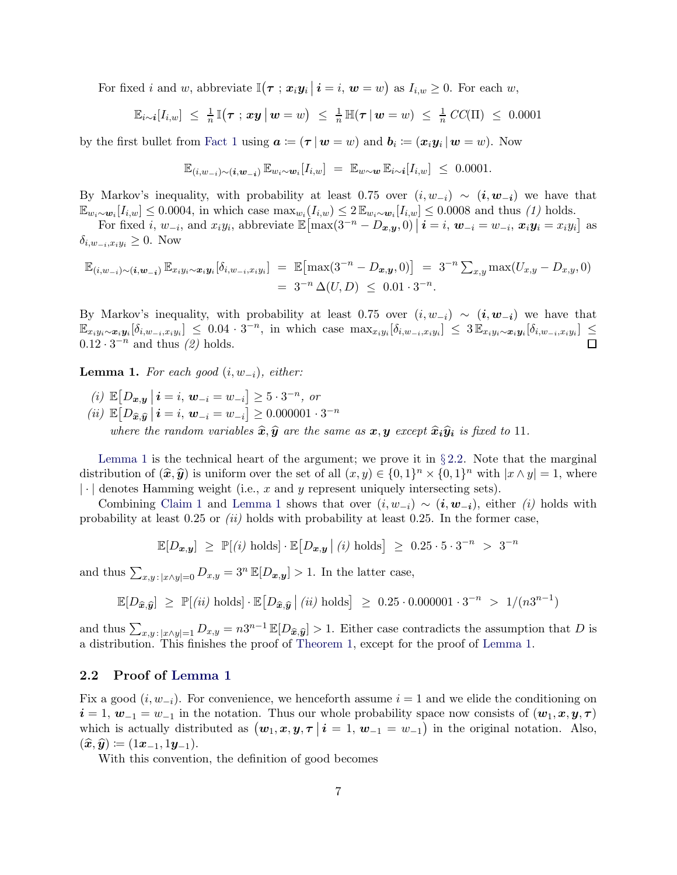For fixed *i* and *w*, abbreviate  $\mathbb{I}(\tau ; x_i y_i \mid i = i, w = w)$  as  $I_{i,w} \geq 0$ . For each *w*,

$$
\mathbb{E}_{i \sim i}[I_{i,w}] \leq \frac{1}{n} \mathbb{I}(\boldsymbol{\tau} \; ; \; \boldsymbol{x} \boldsymbol{y} \; | \; \boldsymbol{w} = w) \; \leq \; \frac{1}{n} \mathbb{H}(\boldsymbol{\tau} \; | \; \boldsymbol{w} = w) \; \leq \; \frac{1}{n} \mathit{CC}(\Pi) \; \leq \; 0.0001
$$

by the first bullet from [Fact 1](#page-5-1) using  $a \coloneqq (\tau | w = w)$  and  $b_i \coloneqq (x_i y_i | w = w)$ . Now

$$
\mathbb{E}_{(i,w_{-i})\sim(i,w_{-i})}\,\mathbb{E}_{w_i\sim w_i}[I_{i,w}] = \mathbb{E}_{w\sim w}\,\mathbb{E}_{i\sim i}[I_{i,w}] \leq 0.0001.
$$

By Markov's inequality, with probability at least 0.75 over  $(i, w_{-i}) \sim (i, w_{-i})$  we have that  $\mathbb{E}_{w_i \sim w_i}[I_{i,w}] \leq 0.0004$ , in which case  $\max_{w_i}(I_{i,w}) \leq 2 \mathbb{E}_{w_i \sim w_i}[I_{i,w}] \leq 0.0008$  and thus (1) holds.

For fixed *i*,  $w_{-i}$ , and  $x_iy_i$ , abbreviate  $\mathbb{E} \left[ \max(3^{-n} - D_{\boldsymbol{x},\boldsymbol{y}},0) \,\Big|\, \boldsymbol{i} = i, \, \boldsymbol{w}_{-i} = w_{-i}, \, \boldsymbol{x}_i\boldsymbol{y}_i = x_iy_i \right]$  as  $\delta_{i,w_{-i},x_iy_i} \geq 0$ . Now

$$
\mathbb{E}_{(i,w_{-i})\sim(i,w_{-i})}\mathbb{E}_{x_iy_i\sim x_iy_i}[\delta_{i,w_{-i},x_iy_i}] = \mathbb{E}[\max(3^{-n}-D_{x,y},0)] = 3^{-n}\sum_{x,y} \max(U_{x,y}-D_{x,y},0) \n= 3^{-n}\Delta(U,D) \leq 0.01 \cdot 3^{-n}.
$$

By Markov's inequality, with probability at least 0.75 over  $(i, w_{-i}) \sim (i, w_{-i})$  we have that  $\mathbb{E}_{x_iy_i\sim x_iy_i}[\delta_{i,w_{-i},x_iy_i}] \leq 0.04 \cdot 3^{-n}$ , in which case  $\max_{x_iy_i}[\delta_{i,w_{-i},x_iy_i}] \leq 3\mathbb{E}_{x_iy_i\sim x_iy_i}[\delta_{i,w_{-i},x_iy_i}] \leq$  $0.12 \cdot 3^{-n}$  and thus  $(2)$  holds.

<span id="page-6-0"></span>**Lemma 1.** For each good  $(i, w_{-i})$ , either:

(*i*)  $\mathbb{E}[D_{x,y} | i = i, w_{-i} = w_{-i}] \ge 5 \cdot 3^{-n}, \text{ or}$ (*ii*)  $\mathbb{E}[D_{\hat{x}, \hat{y}} | i = i, w_{-i} = w_{-i}] \ge 0.000001 \cdot 3^{-n}$ 

where the random variables  $\hat{x}, \hat{y}$  are the same as  $x, y$  except  $\hat{x}_i \hat{y}_i$  is fixed to 11.

[Lemma 1](#page-6-0) is the technical heart of the argument; we prove it in  $\S 2.2$ . Note that the marginal distribution of  $(\hat{x}, \hat{y})$  is uniform over the set of all  $(x, y) \in \{0, 1\}^n \times \{0, 1\}^n$  with  $|x \wedge y| = 1$ , where  $\lfloor \cdot \rfloor$  denotes Hamming weight (i.e., x and y represent uniquely intersecting sets).

Combining [Claim 1](#page-5-2) and [Lemma 1](#page-6-0) shows that over  $(i, w_{-i}) \sim (i, w_{-i})$ , either (i) holds with probability at least  $0.25$  or *(ii)* holds with probability at least  $0.25$ . In the former case,

$$
\mathbb{E}[D_{\bm{x},\bm{y}}] \ \geq \ \mathbb{P}[(i) \text{ holds}] \cdot \mathbb{E}\big[D_{\bm{x},\bm{y}} \,\big|\, (i) \text{ holds}\big] \ \geq \ 0.25 \cdot 5 \cdot 3^{-n} \ > \ 3^{-n}
$$

and thus  $\sum_{x,y : |x \wedge y|=0} D_{x,y} = 3^n \mathbb{E}[D_{x,y}] > 1$ . In the latter case,

$$
\mathbb{E}[D_{\widehat{\bm{x}}, \widehat{\bm{y}}}] \ \geq \ \mathbb{P}[(ii) \text{ holds}] \cdot \mathbb{E}\big[D_{\widehat{\bm{x}}, \widehat{\bm{y}}}\, \big|\; (ii) \text{ holds} \big] \ \geq \ 0.25 \cdot 0.000001 \cdot 3^{-n} \ > \ 1/(n3^{n-1})
$$

and thus  $\sum_{x,y : |x \wedge y|=1} D_{x,y} = n3^{n-1} \mathbb{E}[D_{\hat{x},\hat{y}}] > 1$ . Either case contradicts the assumption that D is a distribution. This finishes the proof of [Theorem 1,](#page-2-0) except for the proof of [Lemma 1.](#page-6-0)

### <span id="page-6-1"></span>2.2 Proof of [Lemma 1](#page-6-0)

Fix a good  $(i, w_{-i})$ . For convenience, we henceforth assume  $i = 1$  and we elide the conditioning on  $i = 1, w_{-1} = w_{-1}$  in the notation. Thus our whole probability space now consists of  $(w_1, x, y, \tau)$ which is actually distributed as  $(w_1, x, y, \tau | i = 1, w_{-1} = w_{-1})$  in the original notation. Also,  $(\widehat{\boldsymbol{x}}, \widehat{\boldsymbol{y}}) \coloneqq (1\boldsymbol{x}_{-1}, 1\boldsymbol{y}_{-1}).$ 

With this convention, the definition of good becomes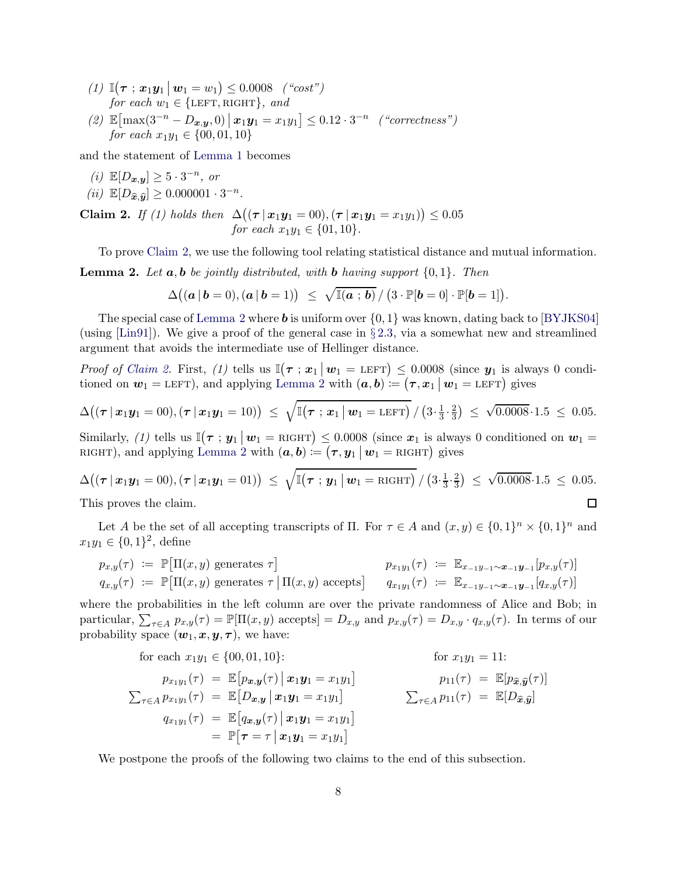- (1)  $\mathbb{I}(\tau; x_1y_1 | w_1 = w_1) \le 0.0008$  ("cost") for each  $w_1 \in \{\text{LEFT}, \text{RIGHT}\}, \text{ and}$
- (2)  $\mathbb{E}[\max(3^{-n} D_{x,y}, 0) | x_1y_1 = x_1y_1] \le 0.12 \cdot 3^{-n}$  ("correctness") for each  $x_1y_1 \in \{00, 01, 10\}$

and the statement of [Lemma 1](#page-6-0) becomes

- (*i*)  $\mathbb{E}[D_{x,y}] \ge 5 \cdot 3^{-n}$ , or
- <span id="page-7-0"></span>(*ii*)  $\mathbb{E}[D_{\hat{x},\hat{y}}] \ge 0.000001 \cdot 3^{-n}$ .

Claim 2. If (1) holds then  $\Delta((\tau | x_1 y_1 = 00), (\tau | x_1 y_1 = x_1 y_1)) \le 0.05$ for each  $x_1y_1 \in \{01, 10\}.$ 

<span id="page-7-1"></span>To prove [Claim 2,](#page-7-0) we use the following tool relating statistical distance and mutual information.

**Lemma 2.** Let  $a, b$  be jointly distributed, with **b** having support  $\{0, 1\}$ . Then

$$
\Delta((\mathbf{a} \,|\, \mathbf{b} = 0), (\mathbf{a} \,|\, \mathbf{b} = 1)) \leq \sqrt{\mathbb{I}(\mathbf{a} \,;\, \mathbf{b})} / (3 \cdot \mathbb{P}[\mathbf{b} = 0] \cdot \mathbb{P}[\mathbf{b} = 1]).
$$

The special case of [Lemma 2](#page-7-1) where **b** is uniform over  $\{0, 1\}$  was known, dating back to [\[BYJKS04\]](#page-13-0) (using [\[Lin91\]](#page-16-12)). We give a proof of the general case in  $\S 2.3$ , via a somewhat new and streamlined argument that avoids the intermediate use of Hellinger distance.

*Proof of [Claim 2.](#page-7-0)* First, (1) tells us  $\mathbb{I}(\tau; x_1 | w_1 = \text{LEFT}) \leq 0.0008$  (since  $y_1$  is always 0 conditioned on  $w_1 = \text{LEFT}$ ), and applying [Lemma 2](#page-7-1) with  $(a, b) := (\tau, x_1 \mid w_1 = \text{LEFT})$  gives

$$
\Delta((\tau | x_1 y_1 = 00), (\tau | x_1 y_1 = 10)) \leq \sqrt{\mathbb{I}(\tau | x_1 | w_1 = \text{LEFT})}/(3 \cdot \frac{1}{3} \cdot \frac{2}{3}) \leq \sqrt{0.0008} \cdot 1.5 \leq 0.05.
$$

Similarly, (1) tells us  $\mathbb{I}(\tau; y_1 | w_1 = \text{RIGHT}) \le 0.0008$  (since  $x_1$  is always 0 conditioned on  $w_1 =$ RIGHT), and applying [Lemma 2](#page-7-1) with  $(a, b) := (\tau, y_1 \, | \, w_1 = \text{RIGHT})$  gives

$$
\Delta((\tau \,|\, \boldsymbol{x}_1 \boldsymbol{y}_1 = 00), (\tau \,|\, \boldsymbol{x}_1 \boldsymbol{y}_1 = 01)) \leq \sqrt{\mathbb{I}(\tau \,;\, \boldsymbol{y}_1 \,|\, \boldsymbol{w}_1 = \text{RIGHT})} / (3 \cdot \frac{1}{3} \cdot \frac{2}{3}) \leq \sqrt{0.0008} \cdot 1.5 \leq 0.05.
$$
 This proves the claim.

This proves the claim.

Let A be the set of all accepting transcripts of  $\Pi$ . For  $\tau \in A$  and  $(x, y) \in \{0, 1\}^n \times \{0, 1\}^n$  and  $x_1y_1 \in \{0,1\}^2$ , define

$$
p_{x,y}(\tau) := \mathbb{P}[\Pi(x,y) \text{ generates } \tau] \qquad p_{x_1y_1}(\tau) := \mathbb{E}_{x_{-1}y_{-1} \sim x_{-1}} p_{x,y}(\tau)]
$$
  
\n
$$
q_{x,y}(\tau) := \mathbb{P}[\Pi(x,y) \text{ generates } \tau \mid \Pi(x,y) \text{ accepts}] \qquad q_{x_1y_1}(\tau) := \mathbb{E}_{x_{-1}y_{-1} \sim x_{-1}} p_{-1}[q_{x,y}(\tau)]
$$

where the probabilities in the left column are over the private randomness of Alice and Bob; in particular,  $\sum_{\tau \in A} p_{x,y}(\tau) = \mathbb{P}[\Pi(x, y) \text{ accepts}] = D_{x,y} \text{ and } p_{x,y}(\tau) = D_{x,y} \cdot q_{x,y}(\tau)$ . In terms of our probability space  $(\mathbf{w}_1, \mathbf{x}, \mathbf{y}, \boldsymbol{\tau})$ , we have:

for each 
$$
x_1y_1 \in \{00, 01, 10\}
$$
:  
\nfor  $x_1y_1 = 11$ :  
\n $p_{x_1y_1}(\tau) = \mathbb{E}[p_{x,y}(\tau) | \mathbf{x}_1\mathbf{y}_1 = x_1y_1]$   
\n $\sum_{\tau \in A} p_{x_1y_1}(\tau) = \mathbb{E}[D_{x,y} | \mathbf{x}_1\mathbf{y}_1 = x_1y_1]$   
\n $q_{x_1y_1}(\tau) = \mathbb{E}[q_{x,y}(\tau) | \mathbf{x}_1\mathbf{y}_1 = x_1y_1]$   
\n $= \mathbb{P}[\tau = \tau | \mathbf{x}_1\mathbf{y}_1 = x_1y_1]$   
\n $\sum_{\tau \in A} p_{x_1}(\tau) = \mathbb{E}[D_{\widehat{x},\widehat{y}}]$ 

<span id="page-7-2"></span>We postpone the proofs of the following two claims to the end of this subsection.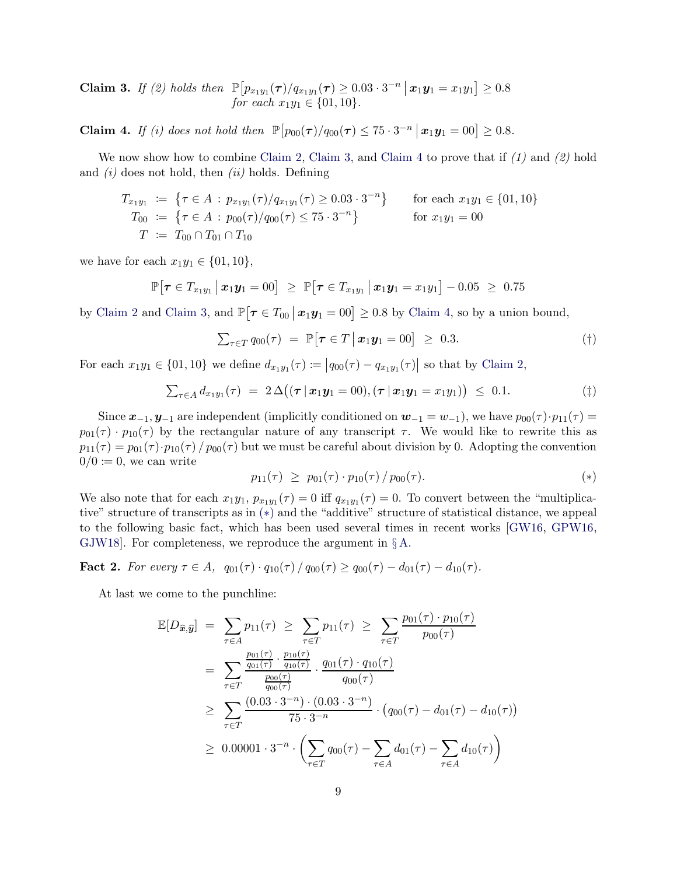Claim 3. If (2) holds then  $\mathbb{P}[p_{x_1y_1}(\tau)/q_{x_1y_1}(\tau) \geq 0.03 \cdot 3^{-n} | x_1y_1 = x_1y_1] \geq 0.8$ for each  $x_1y_1 \in \{01, 10\}.$ 

<span id="page-8-0"></span>**Claim 4.** If (i) does not hold then  $\mathbb{P}\left[p_{00}(\tau)/q_{00}(\tau) \leq 75 \cdot 3^{-n} \,|\, \mathbf{x}_1 \mathbf{y}_1 = 00\right] \geq 0.8$ .

We now show how to combine [Claim 2,](#page-7-0) [Claim 3,](#page-7-2) and [Claim 4](#page-8-0) to prove that if  $(1)$  and  $(2)$  hold and  $(i)$  does not hold, then  $(ii)$  holds. Defining

$$
T_{x_1y_1} := \{ \tau \in A : p_{x_1y_1}(\tau)/q_{x_1y_1}(\tau) \ge 0.03 \cdot 3^{-n} \} \quad \text{for each } x_1y_1 \in \{01, 10\}
$$
  
\n
$$
T_{00} := \{ \tau \in A : p_{00}(\tau)/q_{00}(\tau) \le 75 \cdot 3^{-n} \} \quad \text{for } x_1y_1 = 00
$$
  
\n
$$
T := T_{00} \cap T_{01} \cap T_{10}
$$

we have for each  $x_1y_1 \in \{01, 10\}$ ,

$$
\mathbb{P}[\boldsymbol{\tau} \in T_{x_1y_1} | \boldsymbol{x}_1\boldsymbol{y}_1 = 00] \geq \mathbb{P}[\boldsymbol{\tau} \in T_{x_1y_1} | \boldsymbol{x}_1\boldsymbol{y}_1 = x_1y_1] - 0.05 \geq 0.75
$$

by [Claim 2](#page-7-0) and [Claim 3,](#page-7-2) and  $\mathbb{P}[\tau \in T_{00} \, | \, x_1 y_1 = 00] \geq 0.8$  by [Claim 4,](#page-8-0) so by a union bound,

$$
\sum_{\tau \in T} q_{00}(\tau) = \mathbb{P}[\tau \in T \mid \boldsymbol{x}_1 \boldsymbol{y}_1 = 00] \geq 0.3. \tag{\dagger}
$$

For each  $x_1y_1 \in \{01, 10\}$  we define  $d_{x_1y_1}(\tau) := |q_{00}(\tau) - q_{x_1y_1}(\tau)|$  so that by [Claim 2,](#page-7-0)

$$
\sum_{\tau \in A} d_{x_1 y_1}(\tau) = 2 \Delta ((\tau | x_1 y_1 = 00), (\tau | x_1 y_1 = x_1 y_1)) \leq 0.1. \tag{\ddagger}
$$

Since  $\mathbf{x}_{-1}, \mathbf{y}_{-1}$  are independent (implicitly conditioned on  $\mathbf{w}_{-1} = w_{-1}$ ), we have  $p_{00}(\tau) \cdot p_{11}(\tau) =$  $p_{01}(\tau) \cdot p_{10}(\tau)$  by the rectangular nature of any transcript  $\tau$ . We would like to rewrite this as  $p_{11}(\tau) = p_{01}(\tau) \cdot p_{10}(\tau) / p_{00}(\tau)$  but we must be careful about division by 0. Adopting the convention  $0/0 \coloneqq 0$ , we can write

<span id="page-8-4"></span><span id="page-8-3"></span><span id="page-8-1"></span>
$$
p_{11}(\tau) \ge p_{01}(\tau) \cdot p_{10}(\tau) / p_{00}(\tau). \tag{*}
$$

We also note that for each  $x_1y_1, p_{x_1y_1}(\tau) = 0$  iff  $q_{x_1y_1}(\tau) = 0$ . To convert between the "multiplicative" structure of transcripts as in ([∗](#page-8-1)) and the "additive" structure of statistical distance, we appeal to the following basic fact, which has been used several times in recent works [\[GW16,](#page-15-5) [GPW16,](#page-14-1) GJW18. For completeness, we reproduce the argument in  $\S$  [A.](#page-11-5)

<span id="page-8-2"></span>Fact 2. For every  $\tau \in A$ ,  $q_{01}(\tau) \cdot q_{10}(\tau) / q_{00}(\tau) \geq q_{00}(\tau) - d_{01}(\tau) - d_{10}(\tau)$ .

At last we come to the punchline:

$$
\mathbb{E}[D_{\widehat{x},\widehat{y}}] = \sum_{\tau \in A} p_{11}(\tau) \ge \sum_{\tau \in T} p_{11}(\tau) \ge \sum_{\tau \in T} \frac{p_{01}(\tau) \cdot p_{10}(\tau)}{p_{00}(\tau)}
$$
\n
$$
= \sum_{\tau \in T} \frac{\frac{p_{01}(\tau)}{q_{01}(\tau)} \cdot \frac{p_{10}(\tau)}{q_{10}(\tau)}}{p_{00}(\tau)} \cdot \frac{q_{01}(\tau) \cdot q_{10}(\tau)}{q_{00}(\tau)}
$$
\n
$$
\ge \sum_{\tau \in T} \frac{(0.03 \cdot 3^{-n}) \cdot (0.03 \cdot 3^{-n})}{75 \cdot 3^{-n}} \cdot (q_{00}(\tau) - d_{01}(\tau) - d_{10}(\tau))
$$
\n
$$
\ge 0.00001 \cdot 3^{-n} \cdot \left(\sum_{\tau \in T} q_{00}(\tau) - \sum_{\tau \in A} d_{01}(\tau) - \sum_{\tau \in A} d_{10}(\tau)\right)
$$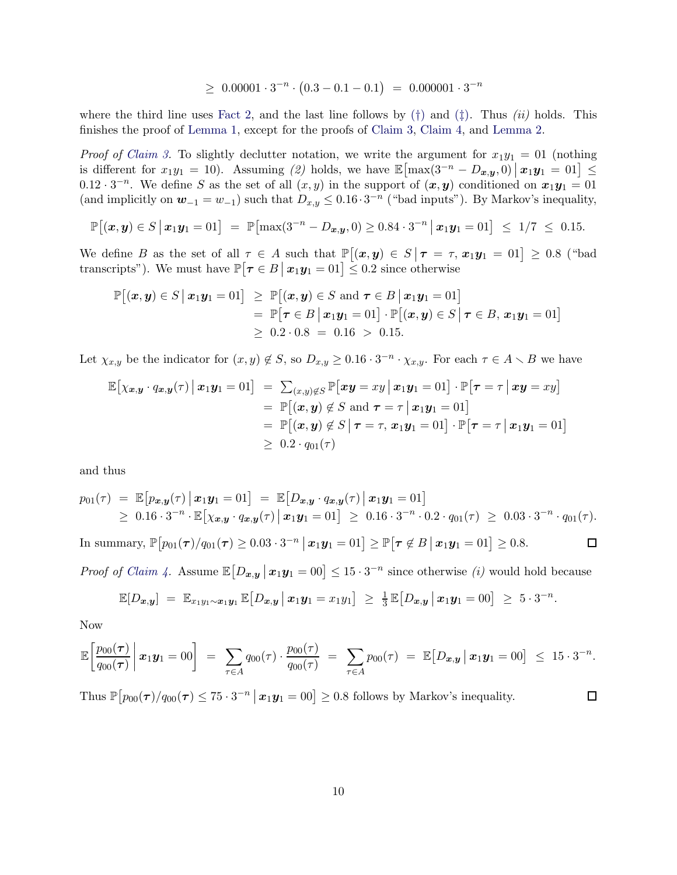$\geq 0.00001 \cdot 3^{-n} \cdot (0.3 - 0.1 - 0.1) = 0.000001 \cdot 3^{-n}$ 

where the third line uses [Fact 2,](#page-8-2) and the last line follows by  $(\dagger)$  $(\dagger)$  and  $(\dagger)$ . Thus *(ii)* holds. This finishes the proof of [Lemma 1,](#page-6-0) except for the proofs of [Claim 3,](#page-7-2) [Claim 4,](#page-8-0) and [Lemma 2.](#page-7-1)

*Proof of [Claim 3.](#page-7-2)* To slightly declutter notation, we write the argument for  $x_1y_1 = 01$  (nothing is different for  $x_1y_1 = 10$ ). Assuming (2) holds, we have  $\mathbb{E}[\max(3^{-n} - D_{\boldsymbol{x},\boldsymbol{y}},0) | \boldsymbol{x}_1\boldsymbol{y}_1 = 01] \leq$  $0.12 \cdot 3^{-n}$ . We define S as the set of all  $(x, y)$  in the support of  $(x, y)$  conditioned on  $x_1y_1 = 01$ (and implicitly on  $w_{-1} = w_{-1}$ ) such that  $D_{x,y} \leq 0.16 \cdot 3^{-n}$  ("bad inputs"). By Markov's inequality,

$$
\mathbb{P}[(x, y) \in S | x_1 y_1 = 01] = \mathbb{P}[\max(3^{-n} - D_{x,y}, 0) \ge 0.84 \cdot 3^{-n} | x_1 y_1 = 01] \le 1/7 \le 0.15.
$$

We define B as the set of all  $\tau \in A$  such that  $\mathbb{P}[(x,y) \in S | \tau = \tau, x_1y_1 = 01] \ge 0.8$  ("bad") transcripts"). We must have  $\mathbb{P}[\tau \in B | x_1 y_1 = 01] \leq 0.2$  since otherwise

$$
\mathbb{P}[(x,y) \in S \mid x_1y_1 = 01] \geq \mathbb{P}[(x,y) \in S \text{ and } \tau \in B \mid x_1y_1 = 01]
$$
  
=  $\mathbb{P}[\tau \in B \mid x_1y_1 = 01] \cdot \mathbb{P}[(x,y) \in S \mid \tau \in B, x_1y_1 = 01]$   
 $\geq 0.2 \cdot 0.8 = 0.16 > 0.15.$ 

Let  $\chi_{x,y}$  be the indicator for  $(x, y) \notin S$ , so  $D_{x,y} \geq 0.16 \cdot 3^{-n} \cdot \chi_{x,y}$ . For each  $\tau \in A \setminus B$  we have

$$
\mathbb{E}\big[\chi_{\boldsymbol{x},\boldsymbol{y}}\cdot q_{\boldsymbol{x},\boldsymbol{y}}(\tau)\,\big|\,\boldsymbol{x}_1\boldsymbol{y}_1=01\big]\ =\ \sum_{(\boldsymbol{x},\boldsymbol{y})\notin S}\mathbb{P}\big[\boldsymbol{x}\boldsymbol{y}=\boldsymbol{x}\boldsymbol{y}\,\big|\,\boldsymbol{x}_1\boldsymbol{y}_1=01\big]\cdot\mathbb{P}\big[\boldsymbol{\tau}=\tau\,\big|\,\boldsymbol{x}\boldsymbol{y}=\boldsymbol{x}\boldsymbol{y}\big] \\
= \ \mathbb{P}\big[(\boldsymbol{x},\boldsymbol{y})\notin S\text{ and }\boldsymbol{\tau}=\tau\,\big|\,\boldsymbol{x}_1\boldsymbol{y}_1=01\big] \\
= \ \mathbb{P}\big[(\boldsymbol{x},\boldsymbol{y})\notin S\,\big|\,\boldsymbol{\tau}=\tau,\,\boldsymbol{x}_1\boldsymbol{y}_1=01\big]\cdot\mathbb{P}\big[\boldsymbol{\tau}=\tau\,\big|\,\boldsymbol{x}_1\boldsymbol{y}_1=01\big]\n\\ \geq 0.2\cdot q_{01}(\tau)
$$

and thus

$$
p_{01}(\tau) = \mathbb{E}\big[p_{\bm{x},\bm{y}}(\tau) \, \big| \, \bm{x}_1 \bm{y}_1 = 01\big] = \mathbb{E}\big[D_{\bm{x},\bm{y}} \cdot q_{\bm{x},\bm{y}}(\tau) \, \big| \, \bm{x}_1 \bm{y}_1 = 01\big] \geq 0.16 \cdot 3^{-n} \cdot \mathbb{E}\big[\chi_{\bm{x},\bm{y}} \cdot q_{\bm{x},\bm{y}}(\tau) \, \big| \, \bm{x}_1 \bm{y}_1 = 01\big] \geq 0.16 \cdot 3^{-n} \cdot 0.2 \cdot q_{01}(\tau) \geq 0.03 \cdot 3^{-n} \cdot q_{01}(\tau).
$$

In summary,  $\mathbb{P}\big[p_{01}(\tau)/q_{01}(\tau) \ge 0.03 \cdot 3^{-n} \, \big| \, \boldsymbol{x}_1\boldsymbol{y}_1 = 01\big] \ge \mathbb{P}\big[\tau \not\in B \, \big| \, \boldsymbol{x}_1\boldsymbol{y}_1 = 01\big] \ge 0.8.$  $\Box$ 

*Proof of [Claim 4.](#page-8-0)* Assume  $\mathbb{E}[D_{x,y} | x_1y_1 = 00] \leq 15 \cdot 3^{-n}$  since otherwise *(i)* would hold because

$$
\mathbb{E}[D_{\boldsymbol{x},\boldsymbol{y}}] = \mathbb{E}_{x_1y_1\sim\boldsymbol{x}_1\boldsymbol{y}_1} \mathbb{E}[D_{\boldsymbol{x},\boldsymbol{y}} \,|\, \boldsymbol{x}_1\boldsymbol{y}_1 = x_1y_1] \ \geq \ \frac{1}{3}\,\mathbb{E}[D_{\boldsymbol{x},\boldsymbol{y}} \,|\, \boldsymbol{x}_1\boldsymbol{y}_1 = 00] \ \geq \ 5\cdot3^{-n}.
$$

Now

$$
\mathbb{E}\left[\frac{p_{00}(\tau)}{q_{00}(\tau)}\bigg|\, \boldsymbol{x}_1\boldsymbol{y}_1=00\right] \;=\; \sum_{\tau\in A} q_{00}(\tau)\cdot \frac{p_{00}(\tau)}{q_{00}(\tau)} \;=\; \sum_{\tau\in A} p_{00}(\tau) \;=\; \mathbb{E}\left[D_{\boldsymbol{x},\boldsymbol{y}}\,|\, \boldsymbol{x}_1\boldsymbol{y}_1=00\right] \;\leq\; 15\cdot 3^{-n}.
$$

 $\Box$ 

Thus  $\mathbb{P}\big[p_{00}(\tau)/q_{00}(\tau)\leq 75\cdot 3^{-n} \,\big|\, \boldsymbol{x}_1\boldsymbol{y}_1=00\big]\geq 0.8$  follows by Markov's inequality.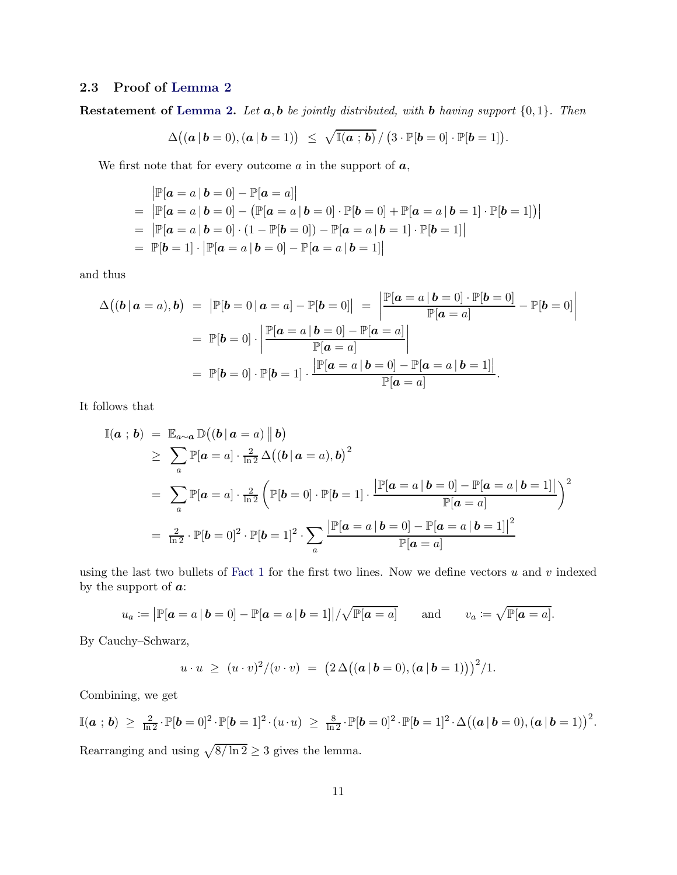# <span id="page-10-0"></span>2.3 Proof of [Lemma 2](#page-7-1)

Restatement of [Lemma 2.](#page-7-1) Let  $a, b$  be jointly distributed, with b having support  $\{0, 1\}$ . Then

$$
\Delta((\mathbf{a} \,|\, \mathbf{b} = 0), (\mathbf{a} \,|\, \mathbf{b} = 1)) \leq \sqrt{\mathbb{I}(\mathbf{a} \,;\, \mathbf{b})} / (3 \cdot \mathbb{P}[\mathbf{b} = 0] \cdot \mathbb{P}[\mathbf{b} = 1]).
$$

We first note that for every outcome  $a$  in the support of  $a$ ,

$$
\begin{aligned}\n|\mathbb{P}[a = a | b = 0] - \mathbb{P}[a = a] \\
&= |\mathbb{P}[a = a | b = 0] - (\mathbb{P}[a = a | b = 0] \cdot \mathbb{P}[b = 0] + \mathbb{P}[a = a | b = 1] \cdot \mathbb{P}[b = 1]) \\
&= |\mathbb{P}[a = a | b = 0] \cdot (1 - \mathbb{P}[b = 0]) - \mathbb{P}[a = a | b = 1] \cdot \mathbb{P}[b = 1] \\
&= \mathbb{P}[b = 1] \cdot |\mathbb{P}[a = a | b = 0] - \mathbb{P}[a = a | b = 1]\n\end{aligned}
$$

and thus

$$
\Delta((\boldsymbol{b} \mid \boldsymbol{a} = a), \boldsymbol{b}) = |\mathbb{P}[\boldsymbol{b} = 0 \mid \boldsymbol{a} = a] - \mathbb{P}[\boldsymbol{b} = 0]| = \left|\frac{\mathbb{P}[\boldsymbol{a} = a \mid \boldsymbol{b} = 0] \cdot \mathbb{P}[\boldsymbol{b} = 0]}{\mathbb{P}[\boldsymbol{a} = a]} - \mathbb{P}[\boldsymbol{b} = 0]\right|
$$

$$
= \mathbb{P}[\boldsymbol{b} = 0] \cdot \left|\frac{\mathbb{P}[\boldsymbol{a} = a \mid \boldsymbol{b} = 0] - \mathbb{P}[\boldsymbol{a} = a]}{\mathbb{P}[\boldsymbol{a} = a]} \right|
$$

$$
= \mathbb{P}[\boldsymbol{b} = 0] \cdot \mathbb{P}[\boldsymbol{b} = 1] \cdot \frac{|\mathbb{P}[\boldsymbol{a} = a \mid \boldsymbol{b} = 0] - \mathbb{P}[\boldsymbol{a} = a \mid \boldsymbol{b} = 1]|}{\mathbb{P}[\boldsymbol{a} = a]}.
$$

It follows that

$$
\begin{aligned}\n\mathbb{I}(\boldsymbol{a} \; ; \; \boldsymbol{b}) &= \mathbb{E}_{a \sim \boldsymbol{a}} \mathbb{D}((\boldsymbol{b} \, | \, \boldsymbol{a} = a) \, \| \, \boldsymbol{b}) \\
&\geq \sum_{a} \mathbb{P}[\boldsymbol{a} = a] \cdot \frac{2}{\ln 2} \Delta((\boldsymbol{b} \, | \, \boldsymbol{a} = a), \boldsymbol{b})^2 \\
&= \sum_{a} \mathbb{P}[\boldsymbol{a} = a] \cdot \frac{2}{\ln 2} \left( \mathbb{P}[\boldsymbol{b} = 0] \cdot \mathbb{P}[\boldsymbol{b} = 1] \cdot \frac{\left| \mathbb{P}[\boldsymbol{a} = a \, | \, \boldsymbol{b} = 0] - \mathbb{P}[\boldsymbol{a} = a \, | \, \boldsymbol{b} = 1] \right|}{\mathbb{P}[\boldsymbol{a} = a]} \right)^2 \\
&= \frac{2}{\ln 2} \cdot \mathbb{P}[\boldsymbol{b} = 0]^2 \cdot \mathbb{P}[\boldsymbol{b} = 1]^2 \cdot \sum_{a} \frac{\left| \mathbb{P}[\boldsymbol{a} = a \, | \, \boldsymbol{b} = 0] - \mathbb{P}[\boldsymbol{a} = a \, | \, \boldsymbol{b} = 1] \right|^2}{\mathbb{P}[\boldsymbol{a} = a]} \n\end{aligned}
$$

using the last two bullets of [Fact 1](#page-5-1) for the first two lines. Now we define vectors  $u$  and  $v$  indexed by the support of  $a$ :

$$
u_a \coloneqq |\mathbb{P}[\boldsymbol{a} = a | \boldsymbol{b} = 0] - \mathbb{P}[\boldsymbol{a} = a | \boldsymbol{b} = 1]| / \sqrt{\mathbb{P}[\boldsymbol{a} = a]}
$$
 and  $v_a \coloneqq \sqrt{\mathbb{P}[\boldsymbol{a} = a]}$ .

By Cauchy–Schwarz,

$$
u \cdot u \ge (u \cdot v)^2 / (v \cdot v) = (2 \Delta ((a | b = 0), (a | b = 1)))^2 / 1.
$$

Combining, we get

$$
\mathbb{I}(\boldsymbol{a} \; ; \; \boldsymbol{b}) \; \geq \; \tfrac{2}{\ln 2} \cdot \mathbb{P}[\boldsymbol{b} = 0]^2 \cdot \mathbb{P}[\boldsymbol{b} = 1]^2 \cdot (u \cdot u) \; \geq \; \tfrac{8}{\ln 2} \cdot \mathbb{P}[\boldsymbol{b} = 0]^2 \cdot \mathbb{P}[\boldsymbol{b} = 1]^2 \cdot \Delta((\boldsymbol{a} \, | \, \boldsymbol{b} = 0), (\boldsymbol{a} \, | \, \boldsymbol{b} = 1))^2.
$$

Rearranging and using  $\sqrt{8/\ln 2} \ge 3$  gives the lemma.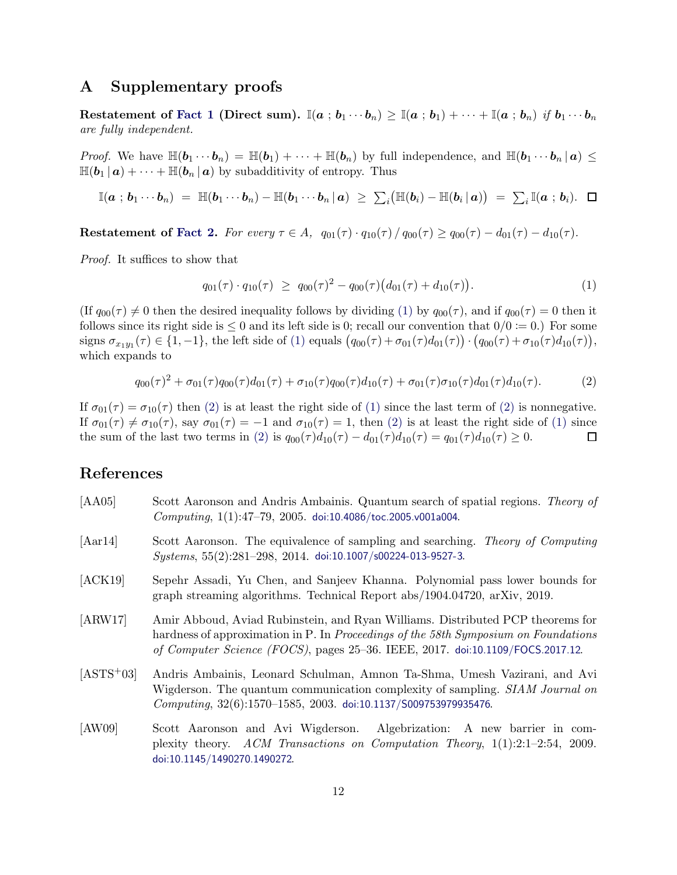### <span id="page-11-5"></span>A Supplementary proofs

Restatement of [Fact 1](#page-5-1) (Direct sum).  $\mathbb{I}(a : b_1 \cdots b_n) \geq \mathbb{I}(a : b_1) + \cdots + \mathbb{I}(a : b_n)$  if  $b_1 \cdots b_n$ are fully independent.

*Proof.* We have  $\mathbb{H}(\mathbf{b}_1 \cdots \mathbf{b}_n) = \mathbb{H}(\mathbf{b}_1) + \cdots + \mathbb{H}(\mathbf{b}_n)$  by full independence, and  $\mathbb{H}(\mathbf{b}_1 \cdots \mathbf{b}_n | \mathbf{a}) \leq$  $\mathbb{H}(\boldsymbol{b}_1 | \boldsymbol{a}) + \cdots + \mathbb{H}(\boldsymbol{b}_n | \boldsymbol{a})$  by subadditivity of entropy. Thus

$$
\mathbb{I}(\boldsymbol{a} \; ; \; \boldsymbol{b}_1 \cdots \boldsymbol{b}_n) \; = \; \mathbb{H}(\boldsymbol{b}_1 \cdots \boldsymbol{b}_n) - \mathbb{H}(\boldsymbol{b}_1 \cdots \boldsymbol{b}_n \, | \, \boldsymbol{a}) \; \geq \; \sum_i (\mathbb{H}(\boldsymbol{b}_i) - \mathbb{H}(\boldsymbol{b}_i \, | \, \boldsymbol{a})) \; = \; \sum_i \mathbb{I}(\boldsymbol{a} \; ; \; \boldsymbol{b}_i). \; \; \square
$$

Restatement of [Fact 2.](#page-8-2) For every  $\tau \in A$ ,  $q_{01}(\tau) \cdot q_{10}(\tau) / q_{00}(\tau) \geq q_{00}(\tau) - d_{01}(\tau) - d_{10}(\tau)$ .

Proof. It suffices to show that

<span id="page-11-6"></span>
$$
q_{01}(\tau) \cdot q_{10}(\tau) \ge q_{00}(\tau)^2 - q_{00}(\tau) \big(d_{01}(\tau) + d_{10}(\tau)\big). \tag{1}
$$

(If  $q_{00}(\tau) \neq 0$  then the desired inequality follows by dividing [\(1\)](#page-11-6) by  $q_{00}(\tau)$ , and if  $q_{00}(\tau) = 0$  then it follows since its right side is  $\leq 0$  and its left side is 0; recall our convention that  $0/0 \coloneq 0$ .) For some signs  $\sigma_{x_1y_1}(\tau) \in \{1, -1\}$ , the left side of [\(1\)](#page-11-6) equals  $(q_{00}(\tau) + \sigma_{01}(\tau)d_{01}(\tau)) \cdot (q_{00}(\tau) + \sigma_{10}(\tau)d_{10}(\tau)),$ which expands to

<span id="page-11-7"></span>
$$
q_{00}(\tau)^2 + \sigma_{01}(\tau)q_{00}(\tau)d_{01}(\tau) + \sigma_{10}(\tau)q_{00}(\tau)d_{10}(\tau) + \sigma_{01}(\tau)\sigma_{10}(\tau)d_{01}(\tau)d_{10}(\tau).
$$
 (2)

If  $\sigma_{01}(\tau) = \sigma_{10}(\tau)$  then [\(2\)](#page-11-7) is at least the right side of [\(1\)](#page-11-6) since the last term of (2) is nonnegative. If  $\sigma_{01}(\tau) \neq \sigma_{10}(\tau)$ , say  $\sigma_{01}(\tau) = -1$  and  $\sigma_{10}(\tau) = 1$ , then [\(2\)](#page-11-7) is at least the right side of [\(1\)](#page-11-6) since the sum of the last two terms in (2) is  $q_{00}(\tau)d_{10}(\tau) - d_{01}(\tau)d_{10}(\tau) = q_{01}(\tau)d_{10}(\tau) \geq 0$ . □ the sum of the last two terms in [\(2\)](#page-11-7) is  $q_{00}(\tau)d_{10}(\tau) - d_{01}(\tau)d_{10}(\tau) = q_{01}(\tau)d_{10}(\tau) \ge 0$ .

## References

- <span id="page-11-0"></span>[AA05] Scott Aaronson and Andris Ambainis. Quantum search of spatial regions. Theory of Computing, 1(1):47–79, 2005. [doi:10.4086/toc.2005.v001a004](http://dx.doi.org/10.4086/toc.2005.v001a004).
- [Aar14] Scott Aaronson. The equivalence of sampling and searching. Theory of Computing Systems, 55(2):281-298, 2014. [doi:10.1007/s00224-013-9527-3](http://dx.doi.org/10.1007/s00224-013-9527-3).
- <span id="page-11-3"></span>[ACK19] Sepehr Assadi, Yu Chen, and Sanjeev Khanna. Polynomial pass lower bounds for graph streaming algorithms. Technical Report abs/1904.04720, arXiv, 2019.
- <span id="page-11-2"></span>[ARW17] Amir Abboud, Aviad Rubinstein, and Ryan Williams. Distributed PCP theorems for hardness of approximation in P. In Proceedings of the 58th Symposium on Foundations of Computer Science (FOCS), pages 25–36. IEEE, 2017. [doi:10.1109/FOCS.2017.12](http://dx.doi.org/10.1109/FOCS.2017.12).
- <span id="page-11-4"></span>[ASTS+03] Andris Ambainis, Leonard Schulman, Amnon Ta-Shma, Umesh Vazirani, and Avi Wigderson. The quantum communication complexity of sampling. *SIAM Journal on* Computing, 32(6):1570–1585, 2003. [doi:10.1137/S009753979935476](http://dx.doi.org/10.1137/S009753979935476).
- <span id="page-11-1"></span>[AW09] Scott Aaronson and Avi Wigderson. Algebrization: A new barrier in complexity theory. ACM Transactions on Computation Theory, 1(1):2:1–2:54, 2009. [doi:10.1145/1490270.1490272](http://dx.doi.org/10.1145/1490270.1490272).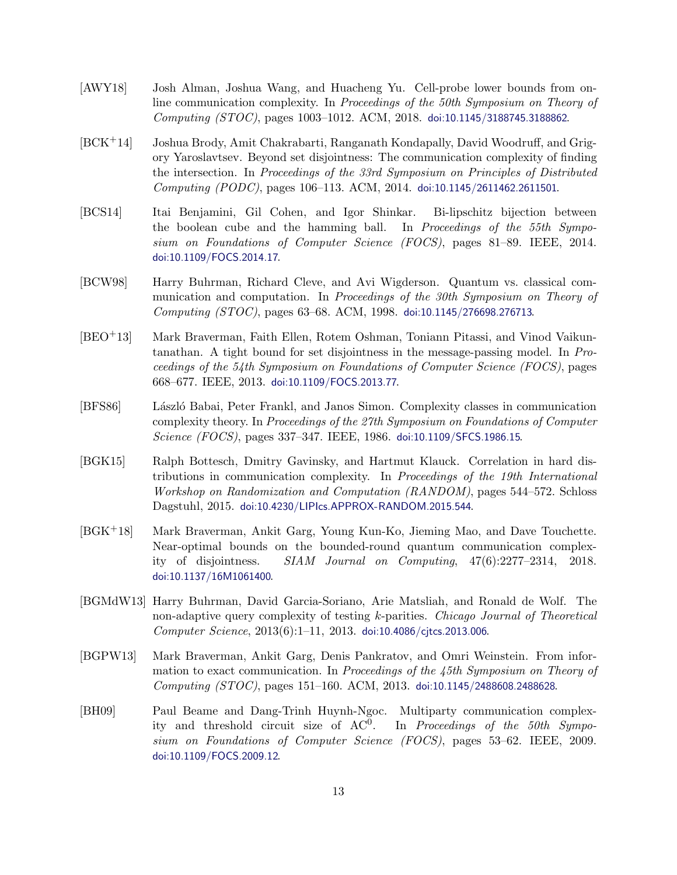- <span id="page-12-9"></span>[AWY18] Josh Alman, Joshua Wang, and Huacheng Yu. Cell-probe lower bounds from online communication complexity. In Proceedings of the 50th Symposium on Theory of Computing (STOC), pages 1003–1012. ACM, 2018. [doi:10.1145/3188745.3188862](http://dx.doi.org/10.1145/3188745.3188862).
- <span id="page-12-8"></span>[BCK+14] Joshua Brody, Amit Chakrabarti, Ranganath Kondapally, David Woodruff, and Grigory Yaroslavtsev. Beyond set disjointness: The communication complexity of finding the intersection. In Proceedings of the 33rd Symposium on Principles of Distributed Computing (PODC), pages 106–113. ACM, 2014. [doi:10.1145/2611462.2611501](http://dx.doi.org/10.1145/2611462.2611501).
- [BCS14] Itai Benjamini, Gil Cohen, and Igor Shinkar. Bi-lipschitz bijection between the boolean cube and the hamming ball. In Proceedings of the 55th Symposium on Foundations of Computer Science (FOCS), pages 81–89. IEEE, 2014. [doi:10.1109/FOCS.2014.17](http://dx.doi.org/10.1109/FOCS.2014.17).
- <span id="page-12-2"></span>[BCW98] Harry Buhrman, Richard Cleve, and Avi Wigderson. Quantum vs. classical communication and computation. In Proceedings of the 30th Symposium on Theory of Computing (STOC), pages 63–68. ACM, 1998. [doi:10.1145/276698.276713](http://dx.doi.org/10.1145/276698.276713).
- <span id="page-12-3"></span>[BEO+13] Mark Braverman, Faith Ellen, Rotem Oshman, Toniann Pitassi, and Vinod Vaikuntanathan. A tight bound for set disjointness in the message-passing model. In Proceedings of the 54th Symposium on Foundations of Computer Science (FOCS), pages 668–677. IEEE, 2013. [doi:10.1109/FOCS.2013.77](http://dx.doi.org/10.1109/FOCS.2013.77).
- <span id="page-12-0"></span>[BFS86] L´aszl´o Babai, Peter Frankl, and Janos Simon. Complexity classes in communication complexity theory. In Proceedings of the 27th Symposium on Foundations of Computer Science (FOCS), pages 337-347. IEEE, 1986. [doi:10.1109/SFCS.1986.15](http://dx.doi.org/10.1109/SFCS.1986.15).
- <span id="page-12-1"></span>[BGK15] Ralph Bottesch, Dmitry Gavinsky, and Hartmut Klauck. Correlation in hard distributions in communication complexity. In Proceedings of the 19th International Workshop on Randomization and Computation (RANDOM), pages 544–572. Schloss Dagstuhl, 2015. [doi:10.4230/LIPIcs.APPROX-RANDOM.2015.544](http://dx.doi.org/10.4230/LIPIcs.APPROX-RANDOM.2015.544).
- <span id="page-12-5"></span>[BGK+18] Mark Braverman, Ankit Garg, Young Kun-Ko, Jieming Mao, and Dave Touchette. Near-optimal bounds on the bounded-round quantum communication complexity of disjointness. SIAM Journal on Computing, 47(6):2277–2314, 2018. [doi:10.1137/16M1061400](http://dx.doi.org/10.1137/16M1061400).
- <span id="page-12-6"></span>[BGMdW13] Harry Buhrman, David Garcia-Soriano, Arie Matsliah, and Ronald de Wolf. The non-adaptive query complexity of testing k-parities. Chicago Journal of Theoretical Computer Science, 2013(6):1–11, 2013. [doi:10.4086/cjtcs.2013.006](http://dx.doi.org/10.4086/cjtcs.2013.006).
- <span id="page-12-7"></span>[BGPW13] Mark Braverman, Ankit Garg, Denis Pankratov, and Omri Weinstein. From information to exact communication. In Proceedings of the 45th Symposium on Theory of Computing (STOC), pages 151–160. ACM, 2013. [doi:10.1145/2488608.2488628](http://dx.doi.org/10.1145/2488608.2488628).
- <span id="page-12-4"></span>[BH09] Paul Beame and Dang-Trinh Huynh-Ngoc. Multiparty communication complexity and threshold circuit size of  $AC^0$ . . In Proceedings of the 50th Symposium on Foundations of Computer Science (FOCS), pages 53–62. IEEE, 2009. [doi:10.1109/FOCS.2009.12](http://dx.doi.org/10.1109/FOCS.2009.12).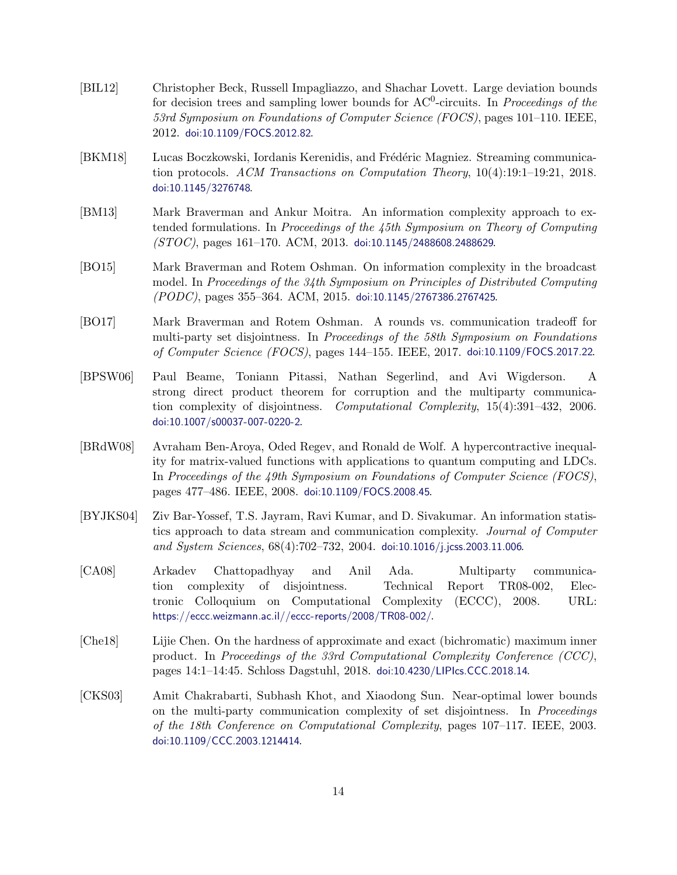- <span id="page-13-10"></span>[BIL12] Christopher Beck, Russell Impagliazzo, and Shachar Lovett. Large deviation bounds for decision trees and sampling lower bounds for  $AC^0$ -circuits. In *Proceedings of the* 53rd Symposium on Foundations of Computer Science (FOCS), pages 101–110. IEEE, 2012. [doi:10.1109/FOCS.2012.82](http://dx.doi.org/10.1109/FOCS.2012.82).
- <span id="page-13-8"></span>[BKM18] Lucas Boczkowski, Iordanis Kerenidis, and Frédéric Magniez. Streaming communication protocols. ACM Transactions on Computation Theory, 10(4):19:1–19:21, 2018. [doi:10.1145/3276748](http://dx.doi.org/10.1145/3276748).
- <span id="page-13-7"></span>[BM13] Mark Braverman and Ankur Moitra. An information complexity approach to extended formulations. In Proceedings of the 45th Symposium on Theory of Computing  $(TOCC)$ , pages 161-170. ACM, 2013. [doi:10.1145/2488608.2488629](http://dx.doi.org/10.1145/2488608.2488629).
- <span id="page-13-2"></span>[BO15] Mark Braverman and Rotem Oshman. On information complexity in the broadcast model. In Proceedings of the 34th Symposium on Principles of Distributed Computing (PODC), pages 355–364. ACM, 2015. [doi:10.1145/2767386.2767425](http://dx.doi.org/10.1145/2767386.2767425).
- <span id="page-13-6"></span>[BO17] Mark Braverman and Rotem Oshman. A rounds vs. communication tradeoff for multi-party set disjointness. In Proceedings of the 58th Symposium on Foundations of Computer Science (FOCS), pages 144–155. IEEE, 2017. [doi:10.1109/FOCS.2017.22](http://dx.doi.org/10.1109/FOCS.2017.22).
- <span id="page-13-3"></span>[BPSW06] Paul Beame, Toniann Pitassi, Nathan Segerlind, and Avi Wigderson. A strong direct product theorem for corruption and the multiparty communication complexity of disjointness. Computational Complexity, 15(4):391–432, 2006. [doi:10.1007/s00037-007-0220-2](http://dx.doi.org/10.1007/s00037-007-0220-2).
- <span id="page-13-9"></span>[BRdW08] Avraham Ben-Aroya, Oded Regev, and Ronald de Wolf. A hypercontractive inequality for matrix-valued functions with applications to quantum computing and LDCs. In Proceedings of the 49th Symposium on Foundations of Computer Science (FOCS), pages 477–486. IEEE, 2008. [doi:10.1109/FOCS.2008.45](http://dx.doi.org/10.1109/FOCS.2008.45).
- <span id="page-13-0"></span>[BYJKS04] Ziv Bar-Yossef, T.S. Jayram, Ravi Kumar, and D. Sivakumar. An information statistics approach to data stream and communication complexity. Journal of Computer and System Sciences, 68(4):702–732, 2004. [doi:10.1016/j.jcss.2003.11.006](http://dx.doi.org/10.1016/j.jcss.2003.11.006).
- <span id="page-13-4"></span>[CA08] Arkadev Chattopadhyay and Anil Ada. Multiparty communication complexity of disjointness. Technical Report TR08-002, Electronic Colloquium on Computational Complexity (ECCC), 2008. URL: <https://eccc.weizmann.ac.il//eccc-reports/2008/TR08-002/>.
- <span id="page-13-5"></span>[Che18] Lijie Chen. On the hardness of approximate and exact (bichromatic) maximum inner product. In Proceedings of the 33rd Computational Complexity Conference (CCC), pages 14:1–14:45. Schloss Dagstuhl, 2018. [doi:10.4230/LIPIcs.CCC.2018.14](http://dx.doi.org/10.4230/LIPIcs.CCC.2018.14).
- <span id="page-13-1"></span>[CKS03] Amit Chakrabarti, Subhash Khot, and Xiaodong Sun. Near-optimal lower bounds on the multi-party communication complexity of set disjointness. In Proceedings of the 18th Conference on Computational Complexity, pages 107–117. IEEE, 2003. [doi:10.1109/CCC.2003.1214414](http://dx.doi.org/10.1109/CCC.2003.1214414).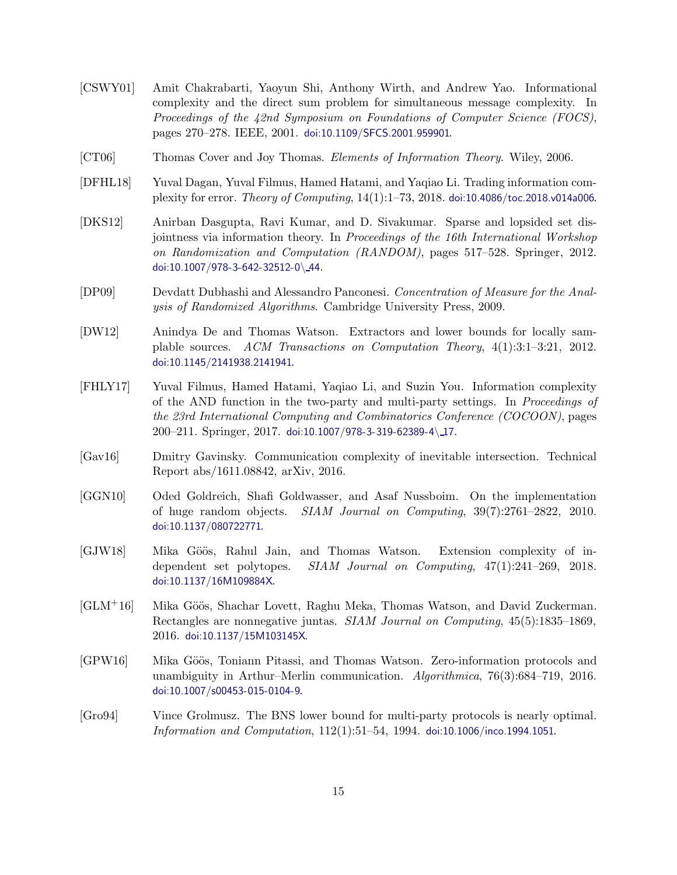- <span id="page-14-8"></span>[CSWY01] Amit Chakrabarti, Yaoyun Shi, Anthony Wirth, and Andrew Yao. Informational complexity and the direct sum problem for simultaneous message complexity. In Proceedings of the 42nd Symposium on Foundations of Computer Science (FOCS), pages 270–278. IEEE, 2001. [doi:10.1109/SFCS.2001.959901](http://dx.doi.org/10.1109/SFCS.2001.959901).
- <span id="page-14-9"></span>[CT06] Thomas Cover and Joy Thomas. Elements of Information Theory. Wiley, 2006.
- <span id="page-14-4"></span>[DFHL18] Yuval Dagan, Yuval Filmus, Hamed Hatami, and Yaqiao Li. Trading information complexity for error. Theory of Computing, 14(1):1–73, 2018. [doi:10.4086/toc.2018.v014a006](http://dx.doi.org/10.4086/toc.2018.v014a006).
- <span id="page-14-2"></span>[DKS12] Anirban Dasgupta, Ravi Kumar, and D. Sivakumar. Sparse and lopsided set disjointness via information theory. In Proceedings of the 16th International Workshop on Randomization and Computation (RANDOM), pages 517–528. Springer, 2012. [doi:10.1007/978-3-642-32512-0](http://dx.doi.org/10.1007/978-3-642-32512-0_44)\ 44.
- <span id="page-14-10"></span>[DP09] Devdatt Dubhashi and Alessandro Panconesi. Concentration of Measure for the Analysis of Randomized Algorithms. Cambridge University Press, 2009.
- <span id="page-14-6"></span>[DW12] Anindya De and Thomas Watson. Extractors and lower bounds for locally samplable sources. ACM Transactions on Computation Theory, 4(1):3:1–3:21, 2012. [doi:10.1145/2141938.2141941](http://dx.doi.org/10.1145/2141938.2141941).
- <span id="page-14-3"></span>[FHLY17] Yuval Filmus, Hamed Hatami, Yaqiao Li, and Suzin You. Information complexity of the AND function in the two-party and multi-party settings. In Proceedings of the 23rd International Computing and Combinatorics Conference (COCOON), pages 200–211. Springer, 2017. [doi:10.1007/978-3-319-62389-4](http://dx.doi.org/10.1007/978-3-319-62389-4_17)\ 17.
- <span id="page-14-5"></span>[Gav16] Dmitry Gavinsky. Communication complexity of inevitable intersection. Technical Report abs/1611.08842, arXiv, 2016.
- [GGN10] Oded Goldreich, Shafi Goldwasser, and Asaf Nussboim. On the implementation of huge random objects. SIAM Journal on Computing, 39(7):2761–2822, 2010. [doi:10.1137/080722771](http://dx.doi.org/10.1137/080722771).
- <span id="page-14-11"></span>[GJW18] Mika Göös, Rahul Jain, and Thomas Watson. Extension complexity of independent set polytopes. SIAM Journal on Computing, 47(1):241–269, 2018. [doi:10.1137/16M109884X](http://dx.doi.org/10.1137/16M109884X).
- <span id="page-14-7"></span>[GLM<sup>+</sup>16] Mika Göös, Shachar Lovett, Raghu Meka, Thomas Watson, and David Zuckerman. Rectangles are nonnegative juntas. SIAM Journal on Computing, 45(5):1835–1869, 2016. [doi:10.1137/15M103145X](http://dx.doi.org/10.1137/15M103145X).
- <span id="page-14-1"></span>[GPW16] Mika Göös, Toniann Pitassi, and Thomas Watson. Zero-information protocols and unambiguity in Arthur–Merlin communication. Algorithmica, 76(3):684–719, 2016. [doi:10.1007/s00453-015-0104-9](http://dx.doi.org/10.1007/s00453-015-0104-9).
- <span id="page-14-0"></span>[Gro94] Vince Grolmusz. The BNS lower bound for multi-party protocols is nearly optimal. Information and Computation, 112(1):51–54, 1994. [doi:10.1006/inco.1994.1051](http://dx.doi.org/10.1006/inco.1994.1051).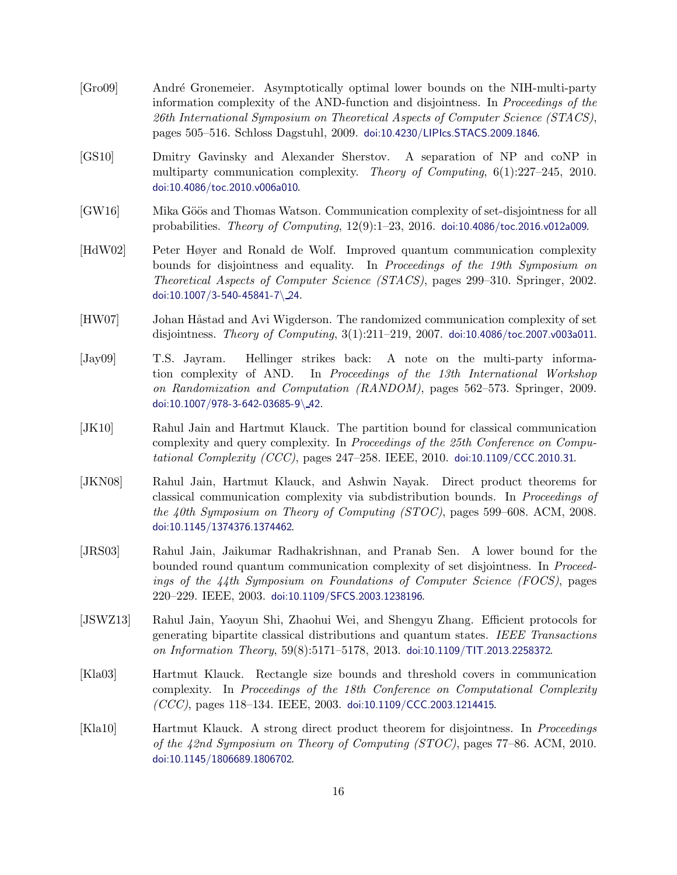- <span id="page-15-1"></span>[Gro09] Andr´e Gronemeier. Asymptotically optimal lower bounds on the NIH-multi-party information complexity of the AND-function and disjointness. In Proceedings of the 26th International Symposium on Theoretical Aspects of Computer Science (STACS), pages 505–516. Schloss Dagstuhl, 2009. [doi:10.4230/LIPIcs.STACS.2009.1846](http://dx.doi.org/10.4230/LIPIcs.STACS.2009.1846).
- <span id="page-15-4"></span>[GS10] Dmitry Gavinsky and Alexander Sherstov. A separation of NP and coNP in multiparty communication complexity. Theory of Computing,  $6(1):227-245$ , 2010. [doi:10.4086/toc.2010.v006a010](http://dx.doi.org/10.4086/toc.2010.v006a010).
- <span id="page-15-5"></span>[GW16] Mika Göös and Thomas Watson. Communication complexity of set-disjointness for all probabilities. Theory of Computing, 12(9):1–23, 2016. [doi:10.4086/toc.2016.v012a009](http://dx.doi.org/10.4086/toc.2016.v012a009).
- <span id="page-15-0"></span>[HdW02] Peter Høyer and Ronald de Wolf. Improved quantum communication complexity bounds for disjointness and equality. In Proceedings of the 19th Symposium on Theoretical Aspects of Computer Science (STACS), pages 299–310. Springer, 2002. [doi:10.1007/3-540-45841-7](http://dx.doi.org/10.1007/3-540-45841-7_24)\ 24.
- <span id="page-15-7"></span>[HW07] Johan Håstad and Avi Wigderson. The randomized communication complexity of set disjointness. Theory of Computing, 3(1):211–219, 2007. [doi:10.4086/toc.2007.v003a011](http://dx.doi.org/10.4086/toc.2007.v003a011).
- <span id="page-15-2"></span>[Jay09] T.S. Jayram. Hellinger strikes back: A note on the multi-party information complexity of AND. In Proceedings of the 13th International Workshop on Randomization and Computation (RANDOM), pages 562–573. Springer, 2009. [doi:10.1007/978-3-642-03685-9](http://dx.doi.org/10.1007/978-3-642-03685-9_42)\ 42.
- <span id="page-15-10"></span>[JK10] Rahul Jain and Hartmut Klauck. The partition bound for classical communication complexity and query complexity. In Proceedings of the 25th Conference on Compu*tational Complexity (CCC)*, pages  $247-258$ . IEEE,  $2010$ . [doi:10.1109/CCC.2010.31](http://dx.doi.org/10.1109/CCC.2010.31).
- <span id="page-15-8"></span>[JKN08] Rahul Jain, Hartmut Klauck, and Ashwin Nayak. Direct product theorems for classical communication complexity via subdistribution bounds. In Proceedings of the 40th Symposium on Theory of Computing  $(TOC)$ , pages 599–608. ACM, 2008. [doi:10.1145/1374376.1374462](http://dx.doi.org/10.1145/1374376.1374462).
- <span id="page-15-6"></span>[JRS03] Rahul Jain, Jaikumar Radhakrishnan, and Pranab Sen. A lower bound for the bounded round quantum communication complexity of set disjointness. In Proceedings of the 44th Symposium on Foundations of Computer Science (FOCS), pages 220–229. IEEE, 2003. [doi:10.1109/SFCS.2003.1238196](http://dx.doi.org/10.1109/SFCS.2003.1238196).
- [JSWZ13] Rahul Jain, Yaoyun Shi, Zhaohui Wei, and Shengyu Zhang. Efficient protocols for generating bipartite classical distributions and quantum states. IEEE Transactions on Information Theory, 59(8):5171–5178, 2013. [doi:10.1109/TIT.2013.2258372](http://dx.doi.org/10.1109/TIT.2013.2258372).
- <span id="page-15-3"></span>[Kla03] Hartmut Klauck. Rectangle size bounds and threshold covers in communication complexity. In Proceedings of the 18th Conference on Computational Complexity  $(CCC)$ , pages 118-134. IEEE, 2003. [doi:10.1109/CCC.2003.1214415](http://dx.doi.org/10.1109/CCC.2003.1214415).
- <span id="page-15-9"></span>[Kla10] Hartmut Klauck. A strong direct product theorem for disjointness. In Proceedings of the 42nd Symposium on Theory of Computing (STOC), pages 77–86. ACM, 2010. [doi:10.1145/1806689.1806702](http://dx.doi.org/10.1145/1806689.1806702).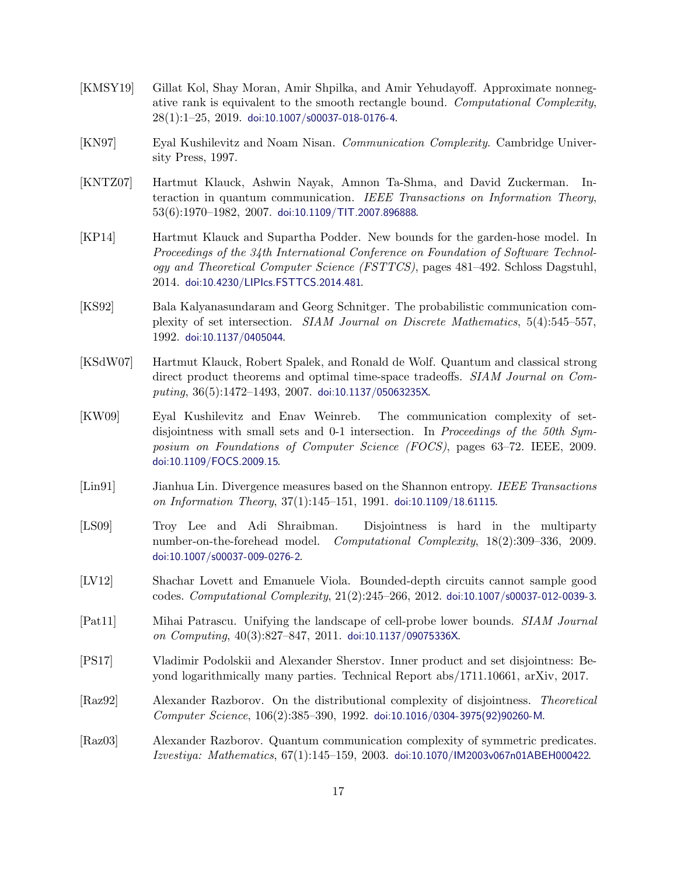- <span id="page-16-10"></span>[KMSY19] Gillat Kol, Shay Moran, Amir Shpilka, and Amir Yehudayoff. Approximate nonnegative rank is equivalent to the smooth rectangle bound. Computational Complexity,  $28(1):1-25$ ,  $2019$ . [doi:10.1007/s00037-018-0176-4](http://dx.doi.org/10.1007/s00037-018-0176-4).
- <span id="page-16-11"></span>[KN97] Eyal Kushilevitz and Noam Nisan. Communication Complexity. Cambridge University Press, 1997.
- <span id="page-16-5"></span>[KNTZ07] Hartmut Klauck, Ashwin Nayak, Amnon Ta-Shma, and David Zuckerman. Interaction in quantum communication. IEEE Transactions on Information Theory,  $53(6):1970-1982$ , 2007. [doi:10.1109/TIT.2007.896888](http://dx.doi.org/10.1109/TIT.2007.896888).
- <span id="page-16-8"></span>[KP14] Hartmut Klauck and Supartha Podder. New bounds for the garden-hose model. In Proceedings of the 34th International Conference on Foundation of Software Technology and Theoretical Computer Science (FSTTCS), pages 481–492. Schloss Dagstuhl, 2014. [doi:10.4230/LIPIcs.FSTTCS.2014.481](http://dx.doi.org/10.4230/LIPIcs.FSTTCS.2014.481).
- <span id="page-16-0"></span>[KS92] Bala Kalyanasundaram and Georg Schnitger. The probabilistic communication complexity of set intersection. SIAM Journal on Discrete Mathematics, 5(4):545–557, 1992. [doi:10.1137/0405044](http://dx.doi.org/10.1137/0405044).
- <span id="page-16-9"></span>[KSdW07] Hartmut Klauck, Robert Spalek, and Ronald de Wolf. Quantum and classical strong direct product theorems and optimal time-space tradeoffs. SIAM Journal on Computing, 36(5):1472-1493, 2007. [doi:10.1137/05063235X](http://dx.doi.org/10.1137/05063235X).
- <span id="page-16-6"></span>[KW09] Eyal Kushilevitz and Enav Weinreb. The communication complexity of setdisjointness with small sets and 0-1 intersection. In Proceedings of the 50th Symposium on Foundations of Computer Science (FOCS), pages 63–72. IEEE, 2009. [doi:10.1109/FOCS.2009.15](http://dx.doi.org/10.1109/FOCS.2009.15).
- <span id="page-16-12"></span>[Lin91] Jianhua Lin. Divergence measures based on the Shannon entropy. IEEE Transactions on Information Theory,  $37(1):145-151$ , 1991. [doi:10.1109/18.61115](http://dx.doi.org/10.1109/18.61115).
- <span id="page-16-3"></span>[LS09] Troy Lee and Adi Shraibman. Disjointness is hard in the multiparty number-on-the-forehead model. Computational Complexity, 18(2):309-336, 2009. [doi:10.1007/s00037-009-0276-2](http://dx.doi.org/10.1007/s00037-009-0276-2).
- [LV12] Shachar Lovett and Emanuele Viola. Bounded-depth circuits cannot sample good codes. Computational Complexity, 21(2):245–266, 2012. [doi:10.1007/s00037-012-0039-3](http://dx.doi.org/10.1007/s00037-012-0039-3).
- <span id="page-16-7"></span>[Pat11] Mihai Patrascu. Unifying the landscape of cell-probe lower bounds. SIAM Journal on Computing, 40(3):827–847, 2011. [doi:10.1137/09075336X](http://dx.doi.org/10.1137/09075336X).
- <span id="page-16-4"></span>[PS17] Vladimir Podolskii and Alexander Sherstov. Inner product and set disjointness: Beyond logarithmically many parties. Technical Report abs/1711.10661, arXiv, 2017.
- <span id="page-16-1"></span>[Raz92] Alexander Razborov. On the distributional complexity of disjointness. Theoretical Computer Science, 106(2):385–390, 1992. [doi:10.1016/0304-3975\(92\)90260-M](http://dx.doi.org/10.1016/0304-3975(92)90260-M).
- <span id="page-16-2"></span>[Raz03] Alexander Razborov. Quantum communication complexity of symmetric predicates. Izvestiya: Mathematics, 67(1):145–159, 2003. [doi:10.1070/IM2003v067n01ABEH000422](http://dx.doi.org/10.1070/IM2003v067n01ABEH000422).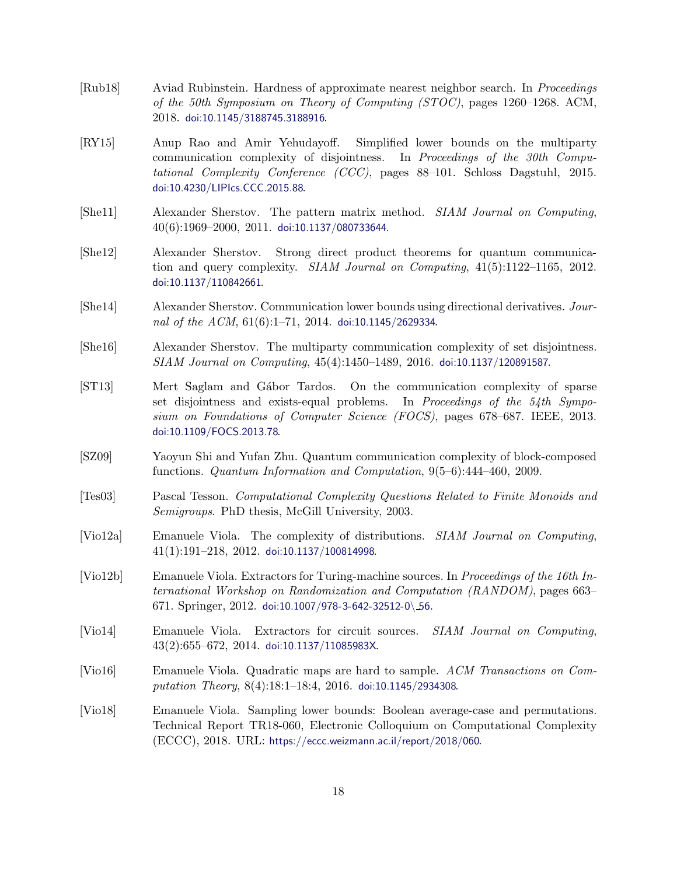- <span id="page-17-6"></span>[Rub18] Aviad Rubinstein. Hardness of approximate nearest neighbor search. In Proceedings of the 50th Symposium on Theory of Computing (STOC), pages 1260–1268. ACM, 2018. [doi:10.1145/3188745.3188916](http://dx.doi.org/10.1145/3188745.3188916).
- <span id="page-17-5"></span>[RY15] Anup Rao and Amir Yehudayoff. Simplified lower bounds on the multiparty communication complexity of disjointness. In Proceedings of the 30th Computational Complexity Conference (CCC), pages 88–101. Schloss Dagstuhl, 2015. [doi:10.4230/LIPIcs.CCC.2015.88](http://dx.doi.org/10.4230/LIPIcs.CCC.2015.88).
- <span id="page-17-0"></span>[She11] Alexander Sherstov. The pattern matrix method. SIAM Journal on Computing, 40(6):1969–2000, 2011. [doi:10.1137/080733644](http://dx.doi.org/10.1137/080733644).
- <span id="page-17-8"></span>[She12] Alexander Sherstov. Strong direct product theorems for quantum communication and query complexity. SIAM Journal on Computing, 41(5):1122–1165, 2012. [doi:10.1137/110842661](http://dx.doi.org/10.1137/110842661).
- <span id="page-17-4"></span>[She14] Alexander Sherstov. Communication lower bounds using directional derivatives. Journal of the ACM,  $61(6):1-71$ ,  $2014.$  [doi:10.1145/2629334](http://dx.doi.org/10.1145/2629334).
- <span id="page-17-3"></span>[She16] Alexander Sherstov. The multiparty communication complexity of set disjointness. SIAM Journal on Computing, 45(4):1450–1489, 2016. [doi:10.1137/120891587](http://dx.doi.org/10.1137/120891587).
- <span id="page-17-7"></span>[ST13] Mert Saglam and Gábor Tardos. On the communication complexity of sparse set disjointness and exists-equal problems. In Proceedings of the 54th Symposium on Foundations of Computer Science (FOCS), pages 678–687. IEEE, 2013. [doi:10.1109/FOCS.2013.78](http://dx.doi.org/10.1109/FOCS.2013.78).
- <span id="page-17-1"></span>[SZ09] Yaoyun Shi and Yufan Zhu. Quantum communication complexity of block-composed functions. Quantum Information and Computation, 9(5–6):444–460, 2009.
- <span id="page-17-2"></span>[Tes03] Pascal Tesson. Computational Complexity Questions Related to Finite Monoids and Semigroups. PhD thesis, McGill University, 2003.
- [Vio12a] Emanuele Viola. The complexity of distributions. SIAM Journal on Computing, 41(1):191–218, 2012. [doi:10.1137/100814998](http://dx.doi.org/10.1137/100814998).
- [Vio12b] Emanuele Viola. Extractors for Turing-machine sources. In Proceedings of the 16th International Workshop on Randomization and Computation (RANDOM), pages 663– 671. Springer, 2012. [doi:10.1007/978-3-642-32512-0](http://dx.doi.org/10.1007/978-3-642-32512-0_56)\ 56.
- [Vio14] Emanuele Viola. Extractors for circuit sources. SIAM Journal on Computing,  $43(2):655-672$ , 2014. [doi:10.1137/11085983X](http://dx.doi.org/10.1137/11085983X).
- [Vio16] Emanuele Viola. Quadratic maps are hard to sample. ACM Transactions on Computation Theory, 8(4):18:1–18:4, 2016. [doi:10.1145/2934308](http://dx.doi.org/10.1145/2934308).
- <span id="page-17-9"></span>[Vio18] Emanuele Viola. Sampling lower bounds: Boolean average-case and permutations. Technical Report TR18-060, Electronic Colloquium on Computational Complexity (ECCC), 2018. URL: <https://eccc.weizmann.ac.il/report/2018/060>.